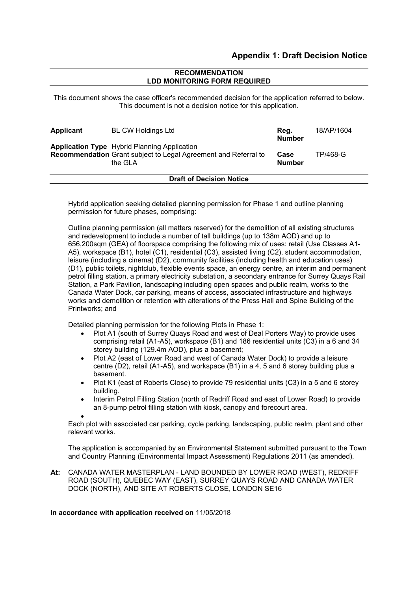# **RECOMMENDATION LDD MONITORING FORM REQUIRED**

This document shows the case officer's recommended decision for the application referred to below. This document is not a decision notice for this application.

| <b>Applicant</b>                | <b>BL CW Holdings Ltd</b><br><b>Application Type</b> Hybrid Planning Application<br>Recommendation Grant subject to Legal Agreement and Referral to<br>the GLA |  | 18/AP/1604 |
|---------------------------------|----------------------------------------------------------------------------------------------------------------------------------------------------------------|--|------------|
|                                 |                                                                                                                                                                |  | TP/468-G   |
| <b>Draft of Decision Notice</b> |                                                                                                                                                                |  |            |

Hybrid application seeking detailed planning permission for Phase 1 and outline planning permission for future phases, comprising:

Outline planning permission (all matters reserved) for the demolition of all existing structures and redevelopment to include a number of tall buildings (up to 138m AOD) and up to 656,200sqm (GEA) of floorspace comprising the following mix of uses: retail (Use Classes A1- A5), workspace (B1), hotel (C1), residential (C3), assisted living (C2), student accommodation, leisure (including a cinema) (D2), community facilities (including health and education uses) (D1), public toilets, nightclub, flexible events space, an energy centre, an interim and permanent petrol filling station, a primary electricity substation, a secondary entrance for Surrey Quays Rail Station, a Park Pavilion, landscaping including open spaces and public realm, works to the Canada Water Dock, car parking, means of access, associated infrastructure and highways works and demolition or retention with alterations of the Press Hall and Spine Building of the Printworks; and

Detailed planning permission for the following Plots in Phase 1:

- Plot A1 (south of Surrey Quays Road and west of Deal Porters Way) to provide uses comprising retail (A1-A5), workspace (B1) and 186 residential units (C3) in a 6 and 34 storey building (129.4m AOD), plus a basement;
- Plot A2 (east of Lower Road and west of Canada Water Dock) to provide a leisure centre (D2), retail (A1-A5), and workspace (B1) in a 4, 5 and 6 storey building plus a basement.
- Plot K1 (east of Roberts Close) to provide 79 residential units (C3) in a 5 and 6 storey building.
- Interim Petrol Filling Station (north of Redriff Road and east of Lower Road) to provide an 8-pump petrol filling station with kiosk, canopy and forecourt area.

 $\bullet$ 

Each plot with associated car parking, cycle parking, landscaping, public realm, plant and other relevant works.

The application is accompanied by an Environmental Statement submitted pursuant to the Town and Country Planning (Environmental Impact Assessment) Regulations 2011 (as amended).

**At:** CANADA WATER MASTERPLAN - LAND BOUNDED BY LOWER ROAD (WEST), REDRIFF ROAD (SOUTH), QUEBEC WAY (EAST), SURREY QUAYS ROAD AND CANADA WATER DOCK (NORTH), AND SITE AT ROBERTS CLOSE, LONDON SE16

# **In accordance with application received on** 11/05/2018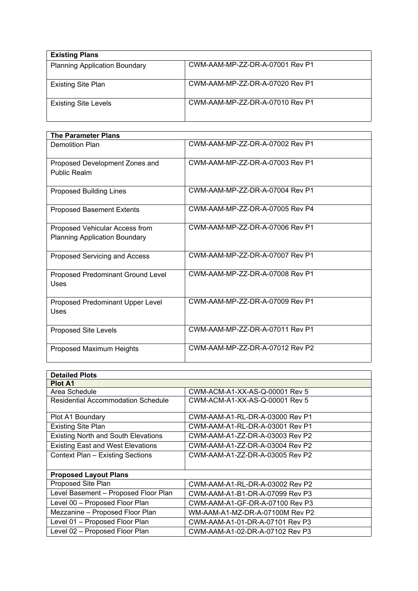| <b>Existing Plans</b>                |                                 |  |
|--------------------------------------|---------------------------------|--|
| <b>Planning Application Boundary</b> | CWM-AAM-MP-ZZ-DR-A-07001 Rev P1 |  |
| <b>Existing Site Plan</b>            | CWM-AAM-MP-ZZ-DR-A-07020 Rev P1 |  |
| <b>Existing Site Levels</b>          | CWM-AAM-MP-ZZ-DR-A-07010 Rev P1 |  |

| <b>The Parameter Plans</b>                                             |                                 |  |
|------------------------------------------------------------------------|---------------------------------|--|
| Demolition Plan                                                        | CWM-AAM-MP-ZZ-DR-A-07002 Rev P1 |  |
| Proposed Development Zones and<br>Public Realm                         | CWM-AAM-MP-ZZ-DR-A-07003 Rev P1 |  |
| <b>Proposed Building Lines</b>                                         | CWM-AAM-MP-ZZ-DR-A-07004 Rev P1 |  |
| <b>Proposed Basement Extents</b>                                       | CWM-AAM-MP-ZZ-DR-A-07005 Rev P4 |  |
| Proposed Vehicular Access from<br><b>Planning Application Boundary</b> | CWM-AAM-MP-ZZ-DR-A-07006 Rev P1 |  |
| Proposed Servicing and Access                                          | CWM-AAM-MP-77-DR-A-07007 Rev P1 |  |
| Proposed Predominant Ground Level<br>Uses                              | CWM-AAM-MP-77-DR-A-07008 Rev P1 |  |
| Proposed Predominant Upper Level<br>Uses                               | CWM-AAM-MP-ZZ-DR-A-07009 Rev P1 |  |
| <b>Proposed Site Levels</b>                                            | CWM-AAM-MP-ZZ-DR-A-07011 Rev P1 |  |
| Proposed Maximum Heights                                               | CWM-AAM-MP-ZZ-DR-A-07012 Rev P2 |  |

| <b>Detailed Plots</b>                    |                                 |  |
|------------------------------------------|---------------------------------|--|
| <b>Plot A1</b>                           |                                 |  |
| Area Schedule                            | CWM-ACM-A1-XX-AS-Q-00001 Rev 5  |  |
| Residential Accommodation Schedule       | CWM-ACM-A1-XX-AS-Q-00001 Rev 5  |  |
| Plot A1 Boundary                         | CWM-AAM-A1-RL-DR-A-03000 Rev P1 |  |
| <b>Existing Site Plan</b>                | CWM-AAM-A1-RL-DR-A-03001 Rev P1 |  |
| Existing North and South Elevations      | CWM-AAM-A1-ZZ-DR-A-03003 Rev P2 |  |
| <b>Existing East and West Elevations</b> | CWM-AAM-A1-ZZ-DR-A-03004 Rev P2 |  |
| Context Plan - Existing Sections         | CWM-AAM-A1-ZZ-DR-A-03005 Rev P2 |  |
| <b>Proposed Layout Plans</b>             |                                 |  |
| Proposed Site Plan                       | CWM-AAM-A1-RL-DR-A-03002 Rev P2 |  |
| Level Basement - Proposed Floor Plan     | CWM-AAM-A1-B1-DR-A-07099 Rev P3 |  |
| Level 00 - Proposed Floor Plan           | CWM-AAM-A1-GF-DR-A-07100 Rev P3 |  |
| Mezzanine - Proposed Floor Plan          | WM-AAM-A1-MZ-DR-A-07100M Rev P2 |  |
| Level 01 - Proposed Floor Plan           | CWM-AAM-A1-01-DR-A-07101 Rev P3 |  |
| Level 02 - Proposed Floor Plan           | CWM-AAM-A1-02-DR-A-07102 Rev P3 |  |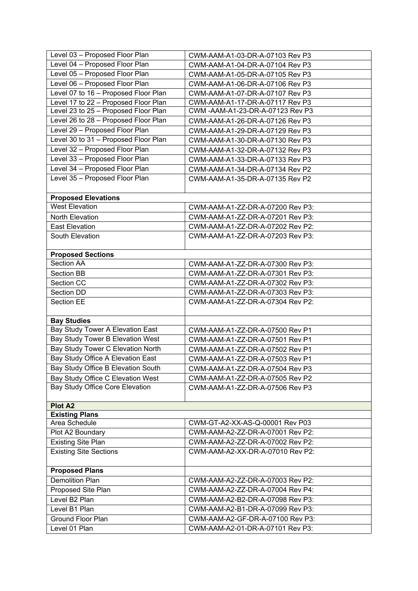| Level 03 - Proposed Floor Plan         | CWM-AAM-A1-03-DR-A-07103 Rev P3  |
|----------------------------------------|----------------------------------|
| Level 04 - Proposed Floor Plan         | CWM-AAM-A1-04-DR-A-07104 Rev P3  |
| Level 05 - Proposed Floor Plan         | CWM-AAM-A1-05-DR-A-07105 Rev P3  |
| Level 06 - Proposed Floor Plan         | CWM-AAM-A1-06-DR-A-07106 Rev P3  |
| Level 07 to 16 - Proposed Floor Plan   | CWM-AAM-A1-07-DR-A-07107 Rev P3  |
| Level 17 to 22 - Proposed Floor Plan   | CWM-AAM-A1-17-DR-A-07117 Rev P3  |
| Level 23 to 25 - Proposed Floor Plan   | CWM -AAM-A1-23-DR-A-07123 Rev P3 |
| Level 26 to 28 - Proposed Floor Plan   | CWM-AAM-A1-26-DR-A-07126 Rev P3  |
| Level 29 - Proposed Floor Plan         | CWM-AAM-A1-29-DR-A-07129 Rev P3  |
| Level 30 to 31 - Proposed Floor Plan   | CWM-AAM-A1-30-DR-A-07130 Rev P3  |
| Level 32 - Proposed Floor Plan         | CWM-AAM-A1-32-DR-A-07132 Rev P3  |
| Level 33 - Proposed Floor Plan         | CWM-AAM-A1-33-DR-A-07133 Rev P3  |
| Level 34 - Proposed Floor Plan         | CWM-AAM-A1-34-DR-A-07134 Rev P2  |
| Level 35 - Proposed Floor Plan         | CWM-AAM-A1-35-DR-A-07135 Rev P2  |
|                                        |                                  |
| <b>Proposed Elevations</b>             |                                  |
| <b>West Elevation</b>                  | CWM-AAM-A1-ZZ-DR-A-07200 Rev P3: |
| North Elevation                        | CWM-AAM-A1-ZZ-DR-A-07201 Rev P3: |
| <b>East Elevation</b>                  | CWM-AAM-A1-ZZ-DR-A-07202 Rev P2: |
| South Elevation                        | CWM-AAM-A1-ZZ-DR-A-07203 Rev P3: |
|                                        |                                  |
| <b>Proposed Sections</b>               |                                  |
| Section AA                             | CWM-AAM-A1-ZZ-DR-A-07300 Rev P3: |
| <b>Section BB</b>                      | CWM-AAM-A1-ZZ-DR-A-07301 Rev P3: |
| Section CC                             | CWM-AAM-A1-ZZ-DR-A-07302 Rev P3: |
| Section DD                             | CWM-AAM-A1-ZZ-DR-A-07303 Rev P3: |
| Section EE                             | CWM-AAM-A1-ZZ-DR-A-07304 Rev P2: |
|                                        |                                  |
| <b>Bay Studies</b>                     |                                  |
| Bay Study Tower A Elevation East       | CWM-AAM-A1-ZZ-DR-A-07500 Rev P1  |
| Bay Study Tower B Elevation West       | CWM-AAM-A1-ZZ-DR-A-07501 Rev P1  |
| Bay Study Tower C Elevation North      | CWM-AAM-A1-ZZ-DR-A-07502 Rev P1  |
| Bay Study Office A Elevation East      | CWM-AAM-A1-ZZ-DR-A-07503 Rev P1  |
| Bay Study Office B Elevation South     | CWM-AAM-A1-ZZ-DR-A-07504 Rev P3  |
| Bay Study Office C Elevation West      | CWM-AAM-A1-ZZ-DR-A-07505 Rev P2  |
| <b>Bay Study Office Core Elevation</b> | CWM-AAM-A1-ZZ-DR-A-07506 Rev P3  |
|                                        |                                  |
| Plot A2                                |                                  |
| <b>Existing Plans</b>                  |                                  |
| Area Schedule                          | CWM-GT-A2-XX-AS-Q-00001 Rev P03  |
| Plot A2 Boundary                       | CWM-AAM-A2-ZZ-DR-A-07001 Rev P2: |
| <b>Existing Site Plan</b>              | CWM-AAM-A2-ZZ-DR-A-07002 Rev P2: |
| <b>Existing Site Sections</b>          | CWM-AAM-A2-XX-DR-A-07010 Rev P2: |
|                                        |                                  |
| <b>Proposed Plans</b>                  |                                  |
| <b>Demolition Plan</b>                 | CWM-AAM-A2-ZZ-DR-A-07003 Rev P2: |
| Proposed Site Plan                     | CWM-AAM-A2-ZZ-DR-A-07004 Rev P4: |
| Level B2 Plan                          | CWM-AAM-A2-B2-DR-A-07098 Rev P3: |
| Level B1 Plan                          | CWM-AAM-A2-B1-DR-A-07099 Rev P3: |
| <b>Ground Floor Plan</b>               | CWM-AAM-A2-GF-DR-A-07100 Rev P3: |
| Level 01 Plan                          | CWM-AAM-A2-01-DR-A-07101 Rev P3: |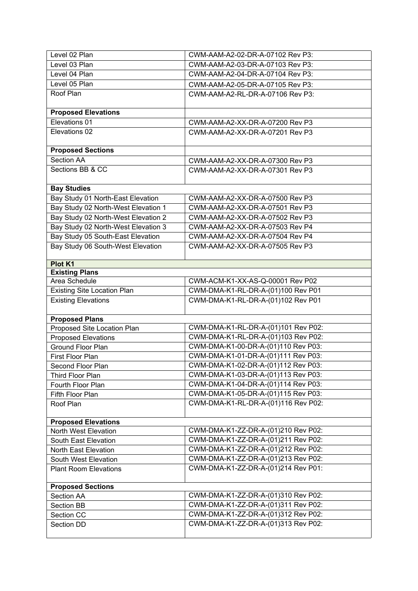| Level 02 Plan                       | CWM-AAM-A2-02-DR-A-07102 Rev P3:    |
|-------------------------------------|-------------------------------------|
| Level 03 Plan                       | CWM-AAM-A2-03-DR-A-07103 Rev P3:    |
| Level 04 Plan                       | CWM-AAM-A2-04-DR-A-07104 Rev P3:    |
| Level 05 Plan                       | CWM-AAM-A2-05-DR-A-07105 Rev P3:    |
| Roof Plan                           | CWM-AAM-A2-RL-DR-A-07106 Rev P3:    |
| <b>Proposed Elevations</b>          |                                     |
| Elevations 01                       | CWM-AAM-A2-XX-DR-A-07200 Rev P3     |
| Elevations 02                       | CWM-AAM-A2-XX-DR-A-07201 Rev P3     |
|                                     |                                     |
| <b>Proposed Sections</b>            |                                     |
| <b>Section AA</b>                   | CWM-AAM-A2-XX-DR-A-07300 Rev P3     |
| Sections BB & CC                    | CWM-AAM-A2-XX-DR-A-07301 Rev P3     |
|                                     |                                     |
| <b>Bay Studies</b>                  |                                     |
| Bay Study 01 North-East Elevation   | CWM-AAM-A2-XX-DR-A-07500 Rev P3     |
| Bay Study 02 North-West Elevation 1 | CWM-AAM-A2-XX-DR-A-07501 Rev P3     |
| Bay Study 02 North-West Elevation 2 | CWM-AAM-A2-XX-DR-A-07502 Rev P3     |
| Bay Study 02 North-West Elevation 3 | CWM-AAM-A2-XX-DR-A-07503 Rev P4     |
| Bay Study 05 South-East Elevation   | CWM-AAM-A2-XX-DR-A-07504 Rev P4     |
| Bay Study 06 South-West Elevation   | CWM-AAM-A2-XX-DR-A-07505 Rev P3     |
|                                     |                                     |
| Plot K1                             |                                     |
| <b>Existing Plans</b>               |                                     |
| Area Schedule                       | CWM-ACM-K1-XX-AS-Q-00001 Rev P02    |
| <b>Existing Site Location Plan</b>  | CWM-DMA-K1-RL-DR-A-(01)100 Rev P01  |
| <b>Existing Elevations</b>          | CWM-DMA-K1-RL-DR-A-(01)102 Rev P01  |
| <b>Proposed Plans</b>               |                                     |
| Proposed Site Location Plan         | CWM-DMA-K1-RL-DR-A-(01)101 Rev P02: |
| <b>Proposed Elevations</b>          | CWM-DMA-K1-RL-DR-A-(01)103 Rev P02: |
| Ground Floor Plan                   | CWM-DMA-K1-00-DR-A-(01)110 Rev P03: |
| First Floor Plan                    | CWM-DMA-K1-01-DR-A-(01)111 Rev P03: |
| Second Floor Plan                   | CWM-DMA-K1-02-DR-A-(01)112 Rev P03: |
| Third Floor Plan                    | CWM-DMA-K1-03-DR-A-(01)113 Rev P03: |
| Fourth Floor Plan                   | CWM-DMA-K1-04-DR-A-(01)114 Rev P03: |
| Fifth Floor Plan                    | CWM-DMA-K1-05-DR-A-(01)115 Rev P03: |
| Roof Plan                           | CWM-DMA-K1-RL-DR-A-(01)116 Rev P02: |
|                                     |                                     |
| <b>Proposed Elevations</b>          |                                     |
| North West Elevation                | CWM-DMA-K1-ZZ-DR-A-(01)210 Rev P02: |
| South East Elevation                | CWM-DMA-K1-ZZ-DR-A-(01)211 Rev P02: |
| North East Elevation                | CWM-DMA-K1-ZZ-DR-A-(01)212 Rev P02: |
| South West Elevation                | CWM-DMA-K1-ZZ-DR-A-(01)213 Rev P02: |
| <b>Plant Room Elevations</b>        | CWM-DMA-K1-ZZ-DR-A-(01)214 Rev P01: |
|                                     |                                     |
| <b>Proposed Sections</b>            |                                     |
| Section AA                          | CWM-DMA-K1-ZZ-DR-A-(01)310 Rev P02: |
| Section BB                          | CWM-DMA-K1-ZZ-DR-A-(01)311 Rev P02: |
| Section CC                          | CWM-DMA-K1-ZZ-DR-A-(01)312 Rev P02: |
| Section DD                          | CWM-DMA-K1-ZZ-DR-A-(01)313 Rev P02: |
|                                     |                                     |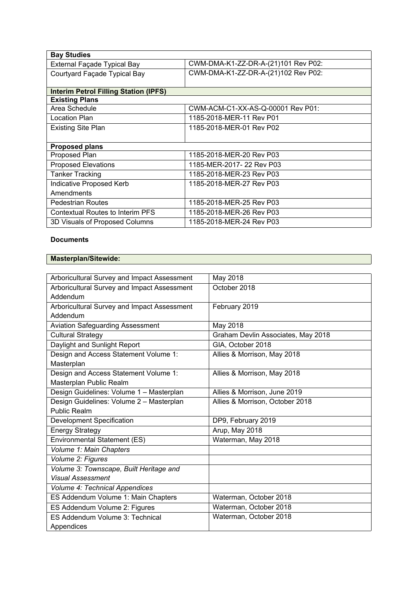| <b>Bay Studies</b>                           |                                     |
|----------------------------------------------|-------------------------------------|
| External Façade Typical Bay                  | CWM-DMA-K1-ZZ-DR-A-(21)101 Rev P02: |
| Courtyard Façade Typical Bay                 | CWM-DMA-K1-ZZ-DR-A-(21)102 Rev P02: |
|                                              |                                     |
| <b>Interim Petrol Filling Station (IPFS)</b> |                                     |
| <b>Existing Plans</b>                        |                                     |
| Area Schedule                                | CWM-ACM-C1-XX-AS-Q-00001 Rev P01:   |
| Location Plan                                | 1185-2018-MER-11 Rev P01            |
| <b>Existing Site Plan</b>                    | 1185-2018-MER-01 Rev P02            |
|                                              |                                     |
| <b>Proposed plans</b>                        |                                     |
| Proposed Plan                                | 1185-2018-MER-20 Rev P03            |
| <b>Proposed Elevations</b>                   | 1185-MER-2017- 22 Rev P03           |
| <b>Tanker Tracking</b>                       | 1185-2018-MER-23 Rev P03            |
| Indicative Proposed Kerb                     | 1185-2018-MER-27 Rev P03            |
| Amendments                                   |                                     |
| Pedestrian Routes                            | 1185-2018-MER-25 Rev P03            |
| <b>Contextual Routes to Interim PFS</b>      | 1185-2018-MER-26 Rev P03            |
| 3D Visuals of Proposed Columns               | 1185-2018-MER-24 Rev P03            |

# **Documents**

# **Masterplan/Sitewide:**

| Arboricultural Survey and Impact Assessment | May 2018                           |
|---------------------------------------------|------------------------------------|
| Arboricultural Survey and Impact Assessment | October 2018                       |
| Addendum                                    |                                    |
| Arboricultural Survey and Impact Assessment | February 2019                      |
| Addendum                                    |                                    |
| <b>Aviation Safeguarding Assessment</b>     | May 2018                           |
| <b>Cultural Strategy</b>                    | Graham Devlin Associates, May 2018 |
| Daylight and Sunlight Report                | GIA, October 2018                  |
| Design and Access Statement Volume 1:       | Allies & Morrison, May 2018        |
| Masterplan                                  |                                    |
| Design and Access Statement Volume 1:       | Allies & Morrison, May 2018        |
| Masterplan Public Realm                     |                                    |
| Design Guidelines: Volume 1 - Masterplan    | Allies & Morrison, June 2019       |
| Design Guidelines: Volume 2 - Masterplan    | Allies & Morrison, October 2018    |
| <b>Public Realm</b>                         |                                    |
| Development Specification                   | DP9, February 2019                 |
| <b>Energy Strategy</b>                      | Arup, May 2018                     |
| Environmental Statement (ES)                | Waterman, May 2018                 |
| Volume 1: Main Chapters                     |                                    |
| Volume 2: Figures                           |                                    |
| Volume 3: Townscape, Built Heritage and     |                                    |
| <b>Visual Assessment</b>                    |                                    |
| Volume 4: Technical Appendices              |                                    |
| ES Addendum Volume 1: Main Chapters         | Waterman, October 2018             |
| ES Addendum Volume 2: Figures               | Waterman, October 2018             |
| ES Addendum Volume 3: Technical             | Waterman, October 2018             |
| Appendices                                  |                                    |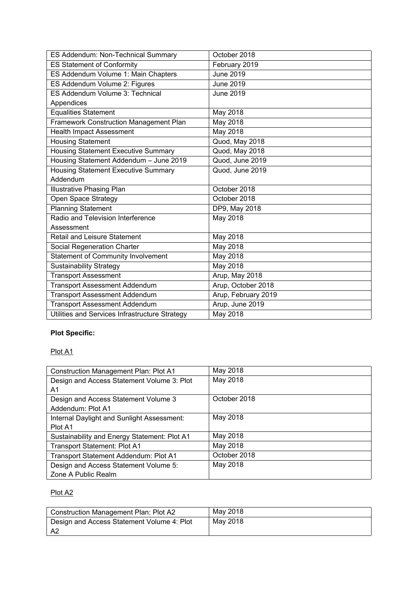| ES Addendum: Non-Technical Summary             | October 2018        |
|------------------------------------------------|---------------------|
| <b>ES Statement of Conformity</b>              | February 2019       |
| ES Addendum Volume 1: Main Chapters            | <b>June 2019</b>    |
| ES Addendum Volume 2: Figures                  | <b>June 2019</b>    |
| ES Addendum Volume 3: Technical                | <b>June 2019</b>    |
| Appendices                                     |                     |
| <b>Equalities Statement</b>                    | May 2018            |
| Framework Construction Management Plan         | May 2018            |
| <b>Health Impact Assessment</b>                | May 2018            |
| <b>Housing Statement</b>                       | Quod, May 2018      |
| <b>Housing Statement Executive Summary</b>     | Quod, May 2018      |
| Housing Statement Addendum - June 2019         | Quod, June 2019     |
| <b>Housing Statement Executive Summary</b>     | Quod, June 2019     |
| Addendum                                       |                     |
| <b>Illustrative Phasing Plan</b>               | October 2018        |
| Open Space Strategy                            | October 2018        |
| <b>Planning Statement</b>                      | DP9, May 2018       |
| Radio and Television Interference              | May 2018            |
| Assessment                                     |                     |
| Retail and Leisure Statement                   | May 2018            |
| Social Regeneration Charter                    | May 2018            |
| <b>Statement of Community Involvement</b>      | <b>May 2018</b>     |
| <b>Sustainability Strategy</b>                 | May 2018            |
| <b>Transport Assessment</b>                    | Arup, May 2018      |
| <b>Transport Assessment Addendum</b>           | Arup, October 2018  |
| <b>Transport Assessment Addendum</b>           | Arup, February 2019 |
| <b>Transport Assessment Addendum</b>           | Arup, June 2019     |
| Utilities and Services Infrastructure Strategy | May 2018            |

# **Plot Specific:**

# Plot A1

| <b>Construction Management Plan: Plot A1</b> | May 2018     |
|----------------------------------------------|--------------|
| Design and Access Statement Volume 3: Plot   | May 2018     |
| A1                                           |              |
| Design and Access Statement Volume 3         | October 2018 |
| Addendum: Plot A1                            |              |
| Internal Daylight and Sunlight Assessment:   | May 2018     |
| Plot A1                                      |              |
| Sustainability and Energy Statement: Plot A1 | May 2018     |
| Transport Statement: Plot A1                 | May 2018     |
| Transport Statement Addendum: Plot A1        | October 2018 |
| Design and Access Statement Volume 5:        | May 2018     |
| Zone A Public Realm                          |              |

# Plot A2

| Construction Management Plan: Plot A2      | May 2018 |
|--------------------------------------------|----------|
| Design and Access Statement Volume 4: Plot | Mav 2018 |
| - A2                                       |          |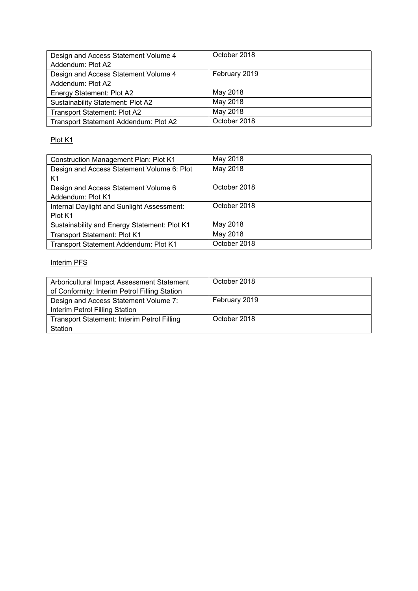| Design and Access Statement Volume 4  | October 2018  |
|---------------------------------------|---------------|
| Addendum: Plot A2                     |               |
| Design and Access Statement Volume 4  | February 2019 |
| Addendum: Plot A2                     |               |
| Energy Statement: Plot A2             | May 2018      |
| Sustainability Statement: Plot A2     | May 2018      |
| <b>Transport Statement: Plot A2</b>   | May 2018      |
| Transport Statement Addendum: Plot A2 | October 2018  |

# Plot K1

| <b>Construction Management Plan: Plot K1</b> | May 2018     |
|----------------------------------------------|--------------|
| Design and Access Statement Volume 6: Plot   | May 2018     |
| K1                                           |              |
| Design and Access Statement Volume 6         | October 2018 |
| Addendum: Plot K1                            |              |
| Internal Daylight and Sunlight Assessment:   | October 2018 |
| Plot K1                                      |              |
| Sustainability and Energy Statement: Plot K1 | May 2018     |
| Transport Statement: Plot K1                 | May 2018     |
| Transport Statement Addendum: Plot K1        | October 2018 |

# Interim PFS

| Arboricultural Impact Assessment Statement    | October 2018  |
|-----------------------------------------------|---------------|
| of Conformity: Interim Petrol Filling Station |               |
| Design and Access Statement Volume 7:         | February 2019 |
| Interim Petrol Filling Station                |               |
| Transport Statement: Interim Petrol Filling   | October 2018  |
| Station                                       |               |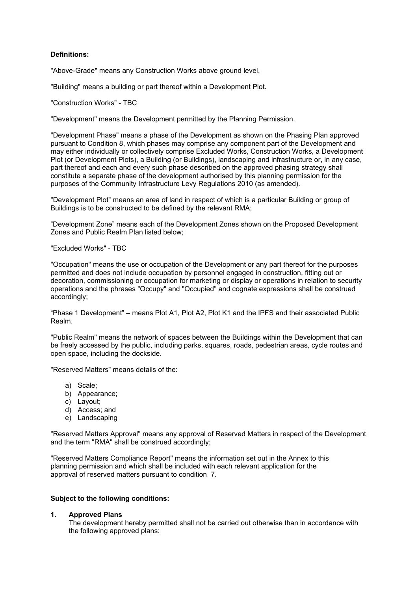# **Definitions:**

"Above-Grade" means any Construction Works above ground level.

"Building" means a building or part thereof within a Development Plot.

"Construction Works" - TBC

"Development" means the Development permitted by the Planning Permission.

"Development Phase" means a phase of the Development as shown on the Phasing Plan approved pursuant to Condition 8, which phases may comprise any component part of the Development and may either individually or collectively comprise Excluded Works, Construction Works, a Development Plot (or Development Plots), a Building (or Buildings), landscaping and infrastructure or, in any case, part thereof and each and every such phase described on the approved phasing strategy shall constitute a separate phase of the development authorised by this planning permission for the purposes of the Community Infrastructure Levy Regulations 2010 (as amended).

"Development Plot" means an area of land in respect of which is a particular Building or group of Buildings is to be constructed to be defined by the relevant RMA;

"Development Zone" means each of the Development Zones shown on the Proposed Development Zones and Public Realm Plan listed below;

"Excluded Works" - TBC

"Occupation" means the use or occupation of the Development or any part thereof for the purposes permitted and does not include occupation by personnel engaged in construction, fitting out or decoration, commissioning or occupation for marketing or display or operations in relation to security operations and the phrases "Occupy" and "Occupied" and cognate expressions shall be construed accordingly;

"Phase 1 Development" – means Plot A1, Plot A2, Plot K1 and the IPFS and their associated Public Realm.

"Public Realm" means the network of spaces between the Buildings within the Development that can be freely accessed by the public, including parks, squares, roads, pedestrian areas, cycle routes and open space, including the dockside.

"Reserved Matters" means details of the:

- a) Scale;
- b) Appearance;
- c) Layout;
- d) Access; and
- e) Landscaping

"Reserved Matters Approval" means any approval of Reserved Matters in respect of the Development and the term "RMA" shall be construed accordingly;

"Reserved Matters Compliance Report" means the information set out in the Annex to this planning permission and which shall be included with each relevant application for the approval of reserved matters pursuant to condition 7.

# **Subject to the following conditions:**

# **1. Approved Plans**

The development hereby permitted shall not be carried out otherwise than in accordance with the following approved plans: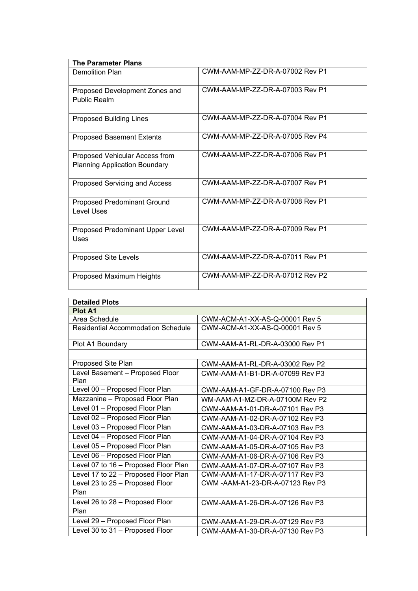| <b>The Parameter Plans</b>                                             |                                 |
|------------------------------------------------------------------------|---------------------------------|
| Demolition Plan                                                        | CWM-AAM-MP-ZZ-DR-A-07002 Rev P1 |
| Proposed Development Zones and<br>Public Realm                         | CWM-AAM-MP-ZZ-DR-A-07003 Rev P1 |
| <b>Proposed Building Lines</b>                                         | CWM-AAM-MP-ZZ-DR-A-07004 Rev P1 |
| <b>Proposed Basement Extents</b>                                       | CWM-AAM-MP-ZZ-DR-A-07005 Rev P4 |
| Proposed Vehicular Access from<br><b>Planning Application Boundary</b> | CWM-AAM-MP-ZZ-DR-A-07006 Rev P1 |
| Proposed Servicing and Access                                          | CWM-AAM-MP-ZZ-DR-A-07007 Rev P1 |
| <b>Proposed Predominant Ground</b><br>Level Uses                       | CWM-AAM-MP-ZZ-DR-A-07008 Rev P1 |
| Proposed Predominant Upper Level<br>Uses                               | CWM-AAM-MP-ZZ-DR-A-07009 Rev P1 |
| <b>Proposed Site Levels</b>                                            | CWM-AAM-MP-77-DR-A-07011 Rev P1 |
| Proposed Maximum Heights                                               | CWM-AAM-MP-ZZ-DR-A-07012 Rev P2 |

| <b>Detailed Plots</b>                     |                                  |
|-------------------------------------------|----------------------------------|
| <b>Plot A1</b>                            |                                  |
| Area Schedule                             | CWM-ACM-A1-XX-AS-Q-00001 Rev 5   |
| <b>Residential Accommodation Schedule</b> | CWM-ACM-A1-XX-AS-Q-00001 Rev 5   |
| Plot A1 Boundary                          | CWM-AAM-A1-RL-DR-A-03000 Rev P1  |
|                                           |                                  |
| Proposed Site Plan                        | CWM-AAM-A1-RL-DR-A-03002 Rev P2  |
| Level Basement - Proposed Floor<br>Plan   | CWM-AAM-A1-B1-DR-A-07099 Rev P3  |
| Level 00 - Proposed Floor Plan            | CWM-AAM-A1-GF-DR-A-07100 Rev P3  |
| Mezzanine - Proposed Floor Plan           | WM-AAM-A1-MZ-DR-A-07100M Rev P2  |
| Level 01 - Proposed Floor Plan            | CWM-AAM-A1-01-DR-A-07101 Rev P3  |
| Level 02 - Proposed Floor Plan            | CWM-AAM-A1-02-DR-A-07102 Rev P3  |
| Level 03 - Proposed Floor Plan            | CWM-AAM-A1-03-DR-A-07103 Rev P3  |
| Level 04 - Proposed Floor Plan            | CWM-AAM-A1-04-DR-A-07104 Rev P3  |
| Level 05 - Proposed Floor Plan            | CWM-AAM-A1-05-DR-A-07105 Rev P3  |
| Level 06 - Proposed Floor Plan            | CWM-AAM-A1-06-DR-A-07106 Rev P3  |
| Level 07 to 16 - Proposed Floor Plan      | CWM-AAM-A1-07-DR-A-07107 Rev P3  |
| Level 17 to 22 - Proposed Floor Plan      | CWM-AAM-A1-17-DR-A-07117 Rev P3  |
| Level 23 to 25 - Proposed Floor           | CWM -AAM-A1-23-DR-A-07123 Rev P3 |
| Plan                                      |                                  |
| Level 26 to 28 - Proposed Floor           | CWM-AAM-A1-26-DR-A-07126 Rev P3  |
| Plan                                      |                                  |
| Level 29 - Proposed Floor Plan            | CWM-AAM-A1-29-DR-A-07129 Rev P3  |
| Level 30 to 31 - Proposed Floor           | CWM-AAM-A1-30-DR-A-07130 Rev P3  |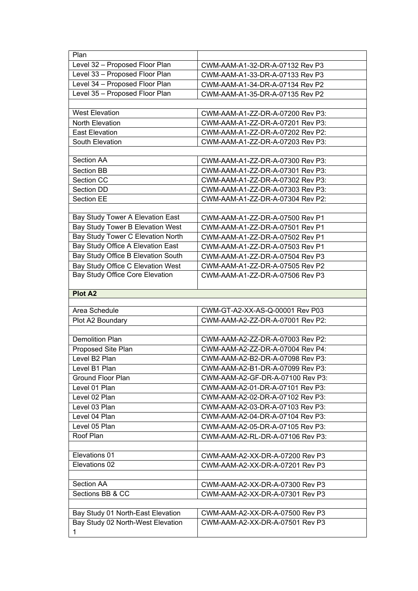| Plan                                   |                                  |
|----------------------------------------|----------------------------------|
| Level 32 - Proposed Floor Plan         | CWM-AAM-A1-32-DR-A-07132 Rev P3  |
| Level 33 - Proposed Floor Plan         | CWM-AAM-A1-33-DR-A-07133 Rev P3  |
| Level 34 - Proposed Floor Plan         | CWM-AAM-A1-34-DR-A-07134 Rev P2  |
| Level 35 - Proposed Floor Plan         | CWM-AAM-A1-35-DR-A-07135 Rev P2  |
|                                        |                                  |
| <b>West Elevation</b>                  | CWM-AAM-A1-ZZ-DR-A-07200 Rev P3: |
| <b>North Elevation</b>                 | CWM-AAM-A1-ZZ-DR-A-07201 Rev P3: |
| <b>East Elevation</b>                  | CWM-AAM-A1-ZZ-DR-A-07202 Rev P2: |
| South Elevation                        | CWM-AAM-A1-ZZ-DR-A-07203 Rev P3: |
|                                        |                                  |
| Section AA                             | CWM-AAM-A1-ZZ-DR-A-07300 Rev P3: |
| <b>Section BB</b>                      | CWM-AAM-A1-ZZ-DR-A-07301 Rev P3: |
| Section CC                             | CWM-AAM-A1-ZZ-DR-A-07302 Rev P3: |
| Section DD                             | CWM-AAM-A1-ZZ-DR-A-07303 Rev P3: |
| <b>Section EE</b>                      | CWM-AAM-A1-ZZ-DR-A-07304 Rev P2: |
|                                        |                                  |
| Bay Study Tower A Elevation East       | CWM-AAM-A1-ZZ-DR-A-07500 Rev P1  |
| Bay Study Tower B Elevation West       | CWM-AAM-A1-ZZ-DR-A-07501 Rev P1  |
| Bay Study Tower C Elevation North      | CWM-AAM-A1-ZZ-DR-A-07502 Rev P1  |
| Bay Study Office A Elevation East      | CWM-AAM-A1-ZZ-DR-A-07503 Rev P1  |
| Bay Study Office B Elevation South     | CWM-AAM-A1-ZZ-DR-A-07504 Rev P3  |
| Bay Study Office C Elevation West      | CWM-AAM-A1-ZZ-DR-A-07505 Rev P2  |
| Bay Study Office Core Elevation        | CWM-AAM-A1-ZZ-DR-A-07506 Rev P3  |
|                                        |                                  |
|                                        |                                  |
| <b>Plot A2</b>                         |                                  |
|                                        |                                  |
| Area Schedule                          | CWM-GT-A2-XX-AS-Q-00001 Rev P03  |
| Plot A2 Boundary                       | CWM-AAM-A2-ZZ-DR-A-07001 Rev P2: |
|                                        |                                  |
| <b>Demolition Plan</b>                 | CWM-AAM-A2-ZZ-DR-A-07003 Rev P2: |
| Proposed Site Plan                     | CWM-AAM-A2-ZZ-DR-A-07004 Rev P4: |
| Level B2 Plan                          | CWM-AAM-A2-B2-DR-A-07098 Rev P3: |
| Level B1 Plan                          | CWM-AAM-A2-B1-DR-A-07099 Rev P3: |
| <b>Ground Floor Plan</b>               | CWM-AAM-A2-GF-DR-A-07100 Rev P3: |
| Level 01 Plan                          | CWM-AAM-A2-01-DR-A-07101 Rev P3: |
| Level 02 Plan                          | CWM-AAM-A2-02-DR-A-07102 Rev P3: |
| Level 03 Plan                          | CWM-AAM-A2-03-DR-A-07103 Rev P3: |
| Level 04 Plan                          | CWM-AAM-A2-04-DR-A-07104 Rev P3: |
| Level 05 Plan                          | CWM-AAM-A2-05-DR-A-07105 Rev P3: |
| Roof Plan                              | CWM-AAM-A2-RL-DR-A-07106 Rev P3: |
|                                        |                                  |
| Elevations 01                          | CWM-AAM-A2-XX-DR-A-07200 Rev P3  |
| Elevations 02                          | CWM-AAM-A2-XX-DR-A-07201 Rev P3  |
|                                        |                                  |
| Section AA                             | CWM-AAM-A2-XX-DR-A-07300 Rev P3  |
| Sections BB & CC                       | CWM-AAM-A2-XX-DR-A-07301 Rev P3  |
|                                        |                                  |
| Bay Study 01 North-East Elevation      | CWM-AAM-A2-XX-DR-A-07500 Rev P3  |
| Bay Study 02 North-West Elevation<br>1 | CWM-AAM-A2-XX-DR-A-07501 Rev P3  |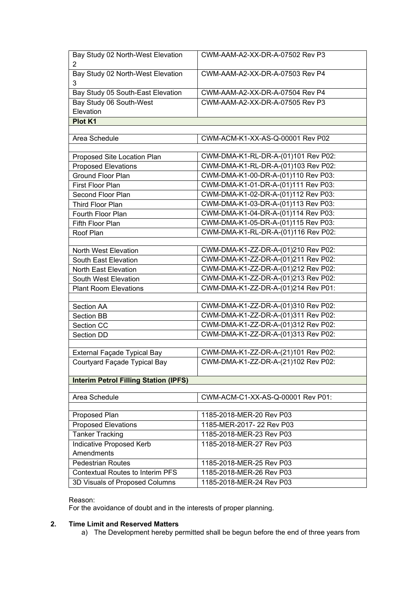| Bay Study 02 North-West Elevation<br>$\overline{2}$       | CWM-AAM-A2-XX-DR-A-07502 Rev P3     |
|-----------------------------------------------------------|-------------------------------------|
| Bay Study 02 North-West Elevation<br>3                    | CWM-AAM-A2-XX-DR-A-07503 Rev P4     |
| Bay Study 05 South-East Elevation                         | CWM-AAM-A2-XX-DR-A-07504 Rev P4     |
| Bay Study 06 South-West                                   | CWM-AAM-A2-XX-DR-A-07505 Rev P3     |
| Elevation                                                 |                                     |
| Plot K1                                                   |                                     |
|                                                           |                                     |
| Area Schedule                                             | CWM-ACM-K1-XX-AS-Q-00001 Rev P02    |
|                                                           | CWM-DMA-K1-RL-DR-A-(01)101 Rev P02: |
| Proposed Site Location Plan<br><b>Proposed Elevations</b> | CWM-DMA-K1-RL-DR-A-(01)103 Rev P02: |
| Ground Floor Plan                                         | CWM-DMA-K1-00-DR-A-(01)110 Rev P03: |
| First Floor Plan                                          | CWM-DMA-K1-01-DR-A-(01)111 Rev P03: |
| Second Floor Plan                                         | CWM-DMA-K1-02-DR-A-(01)112 Rev P03: |
| Third Floor Plan                                          | CWM-DMA-K1-03-DR-A-(01)113 Rev P03: |
| Fourth Floor Plan                                         | CWM-DMA-K1-04-DR-A-(01)114 Rev P03: |
| Fifth Floor Plan                                          | CWM-DMA-K1-05-DR-A-(01)115 Rev P03: |
| Roof Plan                                                 | CWM-DMA-K1-RL-DR-A-(01)116 Rev P02: |
|                                                           |                                     |
| North West Elevation                                      | CWM-DMA-K1-ZZ-DR-A-(01)210 Rev P02: |
| South East Elevation                                      | CWM-DMA-K1-ZZ-DR-A-(01)211 Rev P02: |
| North East Elevation                                      | CWM-DMA-K1-ZZ-DR-A-(01)212 Rev P02: |
| South West Elevation                                      | CWM-DMA-K1-ZZ-DR-A-(01)213 Rev P02: |
| <b>Plant Room Elevations</b>                              | CWM-DMA-K1-ZZ-DR-A-(01)214 Rev P01: |
|                                                           |                                     |
| Section AA                                                | CWM-DMA-K1-ZZ-DR-A-(01)310 Rev P02: |
| Section BB                                                | CWM-DMA-K1-ZZ-DR-A-(01)311 Rev P02: |
| Section CC                                                | CWM-DMA-K1-ZZ-DR-A-(01)312 Rev P02: |
| Section DD                                                | CWM-DMA-K1-ZZ-DR-A-(01)313 Rev P02: |
| External Façade Typical Bay                               | CWM-DMA-K1-ZZ-DR-A-(21)101 Rev P02: |
| Courtyard Façade Typical Bay                              | CWM-DMA-K1-ZZ-DR-A-(21)102 Rev P02: |
|                                                           |                                     |
| <b>Interim Petrol Filling Station (IPFS)</b>              |                                     |
|                                                           |                                     |
| Area Schedule                                             | CWM-ACM-C1-XX-AS-Q-00001 Rev P01:   |
|                                                           |                                     |
| Proposed Plan                                             | 1185-2018-MER-20 Rev P03            |
| <b>Proposed Elevations</b>                                | 1185-MER-2017-22 Rev P03            |
| <b>Tanker Tracking</b>                                    | 1185-2018-MER-23 Rev P03            |
| Indicative Proposed Kerb                                  | 1185-2018-MER-27 Rev P03            |
| Amendments                                                |                                     |
| <b>Pedestrian Routes</b>                                  | 1185-2018-MER-25 Rev P03            |
| <b>Contextual Routes to Interim PFS</b>                   | 1185-2018-MER-26 Rev P03            |
| 3D Visuals of Proposed Columns                            | 1185-2018-MER-24 Rev P03            |

# Reason:

For the avoidance of doubt and in the interests of proper planning.

# **2. Time Limit and Reserved Matters**

a) The Development hereby permitted shall be begun before the end of three years from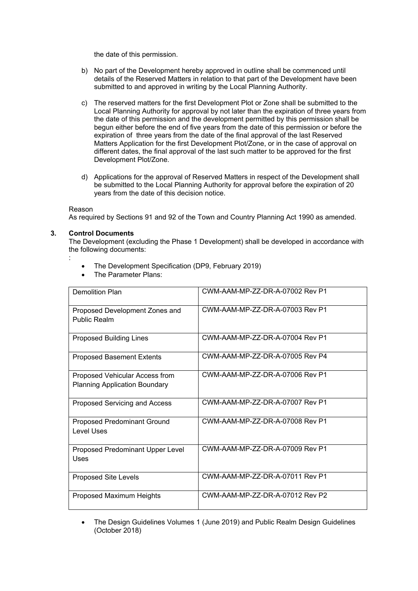the date of this permission.

- b) No part of the Development hereby approved in outline shall be commenced until details of the Reserved Matters in relation to that part of the Development have been submitted to and approved in writing by the Local Planning Authority.
- c) The reserved matters for the first Development Plot or Zone shall be submitted to the Local Planning Authority for approval by not later than the expiration of three years from the date of this permission and the development permitted by this permission shall be begun either before the end of five years from the date of this permission or before the expiration of three years from the date of the final approval of the last Reserved Matters Application for the first Development Plot/Zone, or in the case of approval on different dates, the final approval of the last such matter to be approved for the first Development Plot/Zone.
- d) Applications for the approval of Reserved Matters in respect of the Development shall be submitted to the Local Planning Authority for approval before the expiration of 20 years from the date of this decision notice.

# Reason

As required by Sections 91 and 92 of the Town and Country Planning Act 1990 as amended.

# **3. Control Documents**

The Development (excluding the Phase 1 Development) shall be developed in accordance with the following documents:

:

- The Development Specification (DP9, February 2019)
- The Parameter Plans:

| <b>Demolition Plan</b>                                                 | CWM-AAM-MP-ZZ-DR-A-07002 Rev P1 |
|------------------------------------------------------------------------|---------------------------------|
| Proposed Development Zones and<br>Public Realm                         | CWM-AAM-MP-ZZ-DR-A-07003 Rev P1 |
| <b>Proposed Building Lines</b>                                         | CWM-AAM-MP-ZZ-DR-A-07004 Rev P1 |
| <b>Proposed Basement Extents</b>                                       | CWM-AAM-MP-ZZ-DR-A-07005 Rev P4 |
| Proposed Vehicular Access from<br><b>Planning Application Boundary</b> | CWM-AAM-MP-ZZ-DR-A-07006 Rev P1 |
| Proposed Servicing and Access                                          | CWM-AAM-MP-ZZ-DR-A-07007 Rev P1 |
| <b>Proposed Predominant Ground</b><br>Level Uses                       | CWM-AAM-MP-ZZ-DR-A-07008 Rev P1 |
| Proposed Predominant Upper Level<br>Uses                               | CWM-AAM-MP-ZZ-DR-A-07009 Rev P1 |
| Proposed Site Levels                                                   | CWM-AAM-MP-ZZ-DR-A-07011 Rev P1 |
| Proposed Maximum Heights                                               | CWM-AAM-MP-ZZ-DR-A-07012 Rev P2 |

 The Design Guidelines Volumes 1 (June 2019) and Public Realm Design Guidelines (October 2018)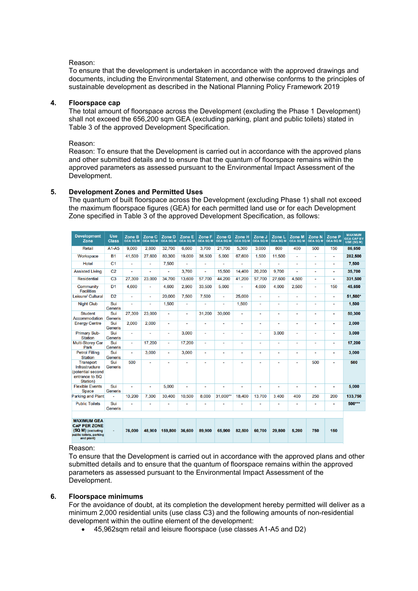# Reason:

To ensure that the development is undertaken in accordance with the approved drawings and documents, including the Environmental Statement, and otherwise conforms to the principles of sustainable development as described in the National Planning Policy Framework 2019

# **4. Floorspace cap**

The total amount of floorspace across the Development (excluding the Phase 1 Development) shall not exceed the 656,200 sqm GEA (excluding parking, plant and public toilets) stated in Table 3 of the approved Development Specification.

Reason:

Reason: To ensure that the Development is carried out in accordance with the approved plans and other submitted details and to ensure that the quantum of floorspace remains within the approved parameters as assessed pursuant to the Environmental Impact Assessment of the Development.

# **5. Development Zones and Permitted Uses**

The quantum of built floorspace across the Development (excluding Phase 1) shall not exceed the maximum floorspace figures (GEA) for each permitted land use or for each Development Zone specified in Table 3 of the approved Development Specification, as follows:

| <b>Development</b><br>Zone                                                                              | <b>Use</b><br><b>Class</b> | Zone B<br><b>GEA SQ M</b> | Zone C<br><b>GEA SQ M</b> | Zone D<br><b>GEA SQ M</b> | Zone E<br><b>GEA SQ M</b> | Zone F<br><b>GEA SQ M</b> | Zone G<br><b>GEA SQ M</b> | Zone H<br><b>GEA SQ M</b> | Zone J<br><b>GEA SQ M</b> | Zone L<br><b>GEA SQ M</b> | Zone M<br><b>GEA SQ M</b> | Zone N<br><b>GEA SQ M</b> | Zone P<br><b>GEA SQ M</b> | <b>MAXIMUM</b><br><b>GEA CAP BY</b><br>USE (SQ M) |
|---------------------------------------------------------------------------------------------------------|----------------------------|---------------------------|---------------------------|---------------------------|---------------------------|---------------------------|---------------------------|---------------------------|---------------------------|---------------------------|---------------------------|---------------------------|---------------------------|---------------------------------------------------|
| <b>Retail</b>                                                                                           | $A1 - A5$                  | 9.000                     | 2.800                     | 32.700                    | 6,600                     | 3.700                     | 21.700                    | 5.300                     | 3,000                     | 800                       | 400                       | 500                       | 150                       | 86.650                                            |
| Workspace                                                                                               | <b>B1</b>                  | 41.500                    | 27.600                    | 80.300                    | 19,000                    | 38,500                    | 5,000                     | 67.600                    | 1.500                     | 11.500                    | ٠                         | ۰                         | ٠                         | 282,500                                           |
| Hotel                                                                                                   | C <sub>1</sub>             | $\blacksquare$            | $\overline{a}$            | 7.500                     | ٠                         | $\overline{a}$            |                           |                           | $\overline{a}$            |                           | ٠                         | ٠                         | ٠                         | 7.500                                             |
| <b>Assisted Living</b>                                                                                  | C <sub>2</sub>             | $\overline{a}$            | $\overline{a}$            | $\overline{a}$            | 3,700                     | ٠                         | 15,500                    | 14,400                    | 20,200                    | 9,700                     | $\overline{a}$            | $\overline{a}$            | ۰                         | 35,700                                            |
| <b>Residential</b>                                                                                      | C <sub>3</sub>             | 27,300                    | 23,000                    | 34.700                    | 13,600                    | 57.700                    | 44,200                    | 41,200                    | 57,700                    | 27.600                    | 4,500                     | ٠                         | ٠                         | 331,500                                           |
| Community<br><b>Facilities</b>                                                                          | D <sub>1</sub>             | 4.600                     | $\overline{\phantom{a}}$  | 4.600                     | 2.900                     | 33.500                    | 5.000                     | $\overline{a}$            | 4.000                     | 4.000                     | 2.500                     | $\overline{a}$            | 150                       | 45,650                                            |
| Leisure/ Cultural                                                                                       | D <sub>2</sub>             | $\overline{a}$            | $\overline{\phantom{a}}$  | 20,000                    | 7.500                     | 7.500                     | ٠                         | 25,000                    | $\overline{\phantom{a}}$  | $\overline{a}$            | ٠                         | ٠                         | ٠                         | 51.500*                                           |
| <b>Night Club</b>                                                                                       | Sui<br><b>Generis</b>      | $\overline{a}$            | $\overline{a}$            | 1,500                     | ٠                         | $\overline{a}$            | $\overline{\phantom{a}}$  | 1,500                     |                           | $\overline{a}$            | ٠                         | ٠                         | ٠                         | 1,500                                             |
| <b>Student</b><br>Accommodation                                                                         | Sui<br><b>Generis</b>      | 27,300                    | 23,000                    |                           | ٠                         | 31.200                    | 30,000                    | ٠                         | ٠                         |                           | ٠                         | ٠                         | ٠                         | 50,300                                            |
| <b>Energy Centre</b>                                                                                    | Sui<br><b>Generis</b>      | 2.000                     | 2.000                     | $\overline{a}$            | $\overline{a}$            | $\overline{a}$            | $\overline{a}$            | $\blacksquare$            | ٠                         | $\overline{a}$            | $\blacksquare$            | $\overline{a}$            | ٠                         | 2.000                                             |
| <b>Primary Sub-</b><br><b>Station</b>                                                                   | Sui<br><b>Generis</b>      | $\blacksquare$            | $\blacksquare$            | $\blacksquare$            | 3.000                     | $\blacksquare$            | $\blacksquare$            | $\blacksquare$            | $\overline{a}$            | 3.000                     | $\blacksquare$            | ٠                         | ٠                         | 3.000                                             |
| <b>Multi-Storey Car</b><br>Park                                                                         | Sui<br><b>Generis</b>      | $\blacksquare$            | 17,200                    | $\blacksquare$            | 17,200                    | $\overline{\phantom{a}}$  |                           | ٠                         | ٠                         | $\blacksquare$            | $\blacksquare$            | ٠                         | ٠                         | 17,200                                            |
| <b>Petrol Filling</b><br><b>Station</b>                                                                 | Sui<br>Generis             | $\blacksquare$            | 3.000                     | $\blacksquare$            | 3.000                     | $\overline{\phantom{a}}$  |                           | ٠                         | $\overline{a}$            |                           | $\blacksquare$            | $\overline{a}$            | $\blacksquare$            | 3,000                                             |
| <b>Transport</b><br>Infrastructure<br>(potential second<br>entrance to SQ<br>Station)                   | Sui<br>Generis             | 500                       | $\overline{a}$            |                           | $\overline{a}$            | ٠                         |                           | ٠                         | ٠                         |                           | $\overline{\phantom{0}}$  | 500                       | $\blacksquare$            | 500                                               |
| <b>Flexible Events</b><br><b>Space</b>                                                                  | Sui<br><b>Generis</b>      | $\overline{a}$            | $\overline{a}$            | 5.000                     | $\overline{a}$            | ٠                         | ٠                         | ٠                         | ٠                         | ٠                         | $\blacksquare$            | ٠                         | ٠                         | 5.000                                             |
| <b>Parking and Plant</b>                                                                                | $\overline{a}$             | 10,200                    | 7,300                     | 30,400                    | 10,500                    | 8.000                     | 31,000**                  | 18,400                    | 13.700                    | 3.400                     | 400                       | 250                       | 200                       | 133,750                                           |
| <b>Public Toilets</b>                                                                                   | Sui<br><b>Generis</b>      | $\overline{a}$            | $\overline{a}$            |                           | ٠                         | $\overline{a}$            |                           | $\overline{a}$            |                           |                           | ٠                         | ٠                         | ۰                         | 500***                                            |
|                                                                                                         |                            |                           |                           |                           |                           |                           |                           |                           |                           |                           |                           |                           |                           |                                                   |
| <b>MAXIMUM GEA</b><br><b>CAP PER ZONE</b><br>(SQ M) (excluding<br>public toilets, parking<br>and plant) | $\blacksquare$             | 76.000                    | 48.900                    | 159,800                   | 36,600                    | 89.900                    | 65,900                    | 82,500                    | 60.700                    | 29.800                    | 5,200                     | 750                       | 150                       |                                                   |

# Reason:

To ensure that the Development is carried out in accordance with the approved plans and other submitted details and to ensure that the quantum of floorspace remains within the approved parameters as assessed pursuant to the Environmental Impact Assessment of the Development.

# **6. Floorspace minimums**

For the avoidance of doubt, at its completion the development hereby permitted will deliver as a minimum 2,000 residential units (use class C3) and the following amounts of non-residential development within the outline element of the development:

45,962sqm retail and leisure floorspace (use classes A1-A5 and D2)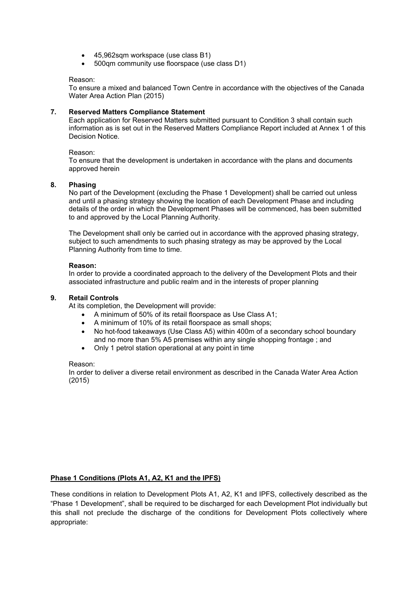- 45,962sqm workspace (use class B1)
- 500qm community use floorspace (use class D1)

# Reason:

To ensure a mixed and balanced Town Centre in accordance with the objectives of the Canada Water Area Action Plan (2015)

# **7. Reserved Matters Compliance Statement**

Each application for Reserved Matters submitted pursuant to Condition 3 shall contain such information as is set out in the Reserved Matters Compliance Report included at Annex 1 of this Decision Notice.

# Reason:

To ensure that the development is undertaken in accordance with the plans and documents approved herein

# **8. Phasing**

No part of the Development (excluding the Phase 1 Development) shall be carried out unless and until a phasing strategy showing the location of each Development Phase and including details of the order in which the Development Phases will be commenced, has been submitted to and approved by the Local Planning Authority.

The Development shall only be carried out in accordance with the approved phasing strategy, subject to such amendments to such phasing strategy as may be approved by the Local Planning Authority from time to time.

# **Reason:**

In order to provide a coordinated approach to the delivery of the Development Plots and their associated infrastructure and public realm and in the interests of proper planning

# **9. Retail Controls**

At its completion, the Development will provide:

- A minimum of 50% of its retail floorspace as Use Class A1;
- A minimum of 10% of its retail floorspace as small shops;
- No hot-food takeaways (Use Class A5) within 400m of a secondary school boundary and no more than 5% A5 premises within any single shopping frontage ; and
- Only 1 petrol station operational at any point in time

# Reason:

In order to deliver a diverse retail environment as described in the Canada Water Area Action (2015)

# **Phase 1 Conditions (Plots A1, A2, K1 and the IPFS)**

These conditions in relation to Development Plots A1, A2, K1 and IPFS, collectively described as the "Phase 1 Development", shall be required to be discharged for each Development Plot individually but this shall not preclude the discharge of the conditions for Development Plots collectively where appropriate: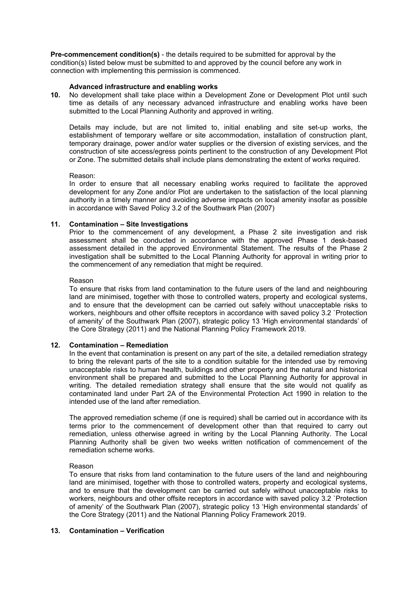**Pre-commencement condition(s)** - the details required to be submitted for approval by the condition(s) listed below must be submitted to and approved by the council before any work in connection with implementing this permission is commenced.

# **Advanced infrastructure and enabling works**

**10.** No development shall take place within a Development Zone or Development Plot until such time as details of any necessary advanced infrastructure and enabling works have been submitted to the Local Planning Authority and approved in writing.

Details may include, but are not limited to, initial enabling and site set-up works, the establishment of temporary welfare or site accommodation, installation of construction plant, temporary drainage, power and/or water supplies or the diversion of existing services, and the construction of site access/egress points pertinent to the construction of any Development Plot or Zone. The submitted details shall include plans demonstrating the extent of works required.

# Reason:

In order to ensure that all necessary enabling works required to facilitate the approved development for any Zone and/or Plot are undertaken to the satisfaction of the local planning authority in a timely manner and avoiding adverse impacts on local amenity insofar as possible in accordance with Saved Policy 3.2 of the Southwark Plan (2007)

# **11. Contamination – Site Investigations**

Prior to the commencement of any development, a Phase 2 site investigation and risk assessment shall be conducted in accordance with the approved Phase 1 desk-based assessment detailed in the approved Environmental Statement. The results of the Phase 2 investigation shall be submitted to the Local Planning Authority for approval in writing prior to the commencement of any remediation that might be required.

# Reason

To ensure that risks from land contamination to the future users of the land and neighbouring land are minimised, together with those to controlled waters, property and ecological systems, and to ensure that the development can be carried out safely without unacceptable risks to workers, neighbours and other offsite receptors in accordance with saved policy 3.2 `Protection of amenity' of the Southwark Plan (2007), strategic policy 13 'High environmental standards' of the Core Strategy (2011) and the National Planning Policy Framework 2019.

# **12. Contamination – Remediation**

In the event that contamination is present on any part of the site, a detailed remediation strategy to bring the relevant parts of the site to a condition suitable for the intended use by removing unacceptable risks to human health, buildings and other property and the natural and historical environment shall be prepared and submitted to the Local Planning Authority for approval in writing. The detailed remediation strategy shall ensure that the site would not qualify as contaminated land under Part 2A of the Environmental Protection Act 1990 in relation to the intended use of the land after remediation.

The approved remediation scheme (if one is required) shall be carried out in accordance with its terms prior to the commencement of development other than that required to carry out remediation, unless otherwise agreed in writing by the Local Planning Authority. The Local Planning Authority shall be given two weeks written notification of commencement of the remediation scheme works.

# Reason

To ensure that risks from land contamination to the future users of the land and neighbouring land are minimised, together with those to controlled waters, property and ecological systems, and to ensure that the development can be carried out safely without unacceptable risks to workers, neighbours and other offsite receptors in accordance with saved policy 3.2 `Protection of amenity' of the Southwark Plan (2007), strategic policy 13 'High environmental standards' of the Core Strategy (2011) and the National Planning Policy Framework 2019.

# **13. Contamination – Verification**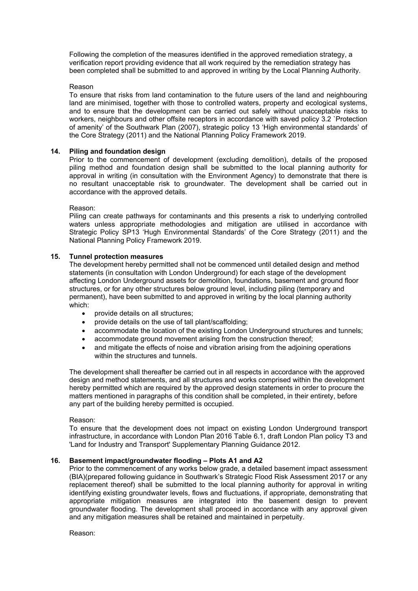Following the completion of the measures identified in the approved remediation strategy, a verification report providing evidence that all work required by the remediation strategy has been completed shall be submitted to and approved in writing by the Local Planning Authority.

# Reason

To ensure that risks from land contamination to the future users of the land and neighbouring land are minimised, together with those to controlled waters, property and ecological systems, and to ensure that the development can be carried out safely without unacceptable risks to workers, neighbours and other offsite receptors in accordance with saved policy 3.2 `Protection of amenity' of the Southwark Plan (2007), strategic policy 13 'High environmental standards' of the Core Strategy (2011) and the National Planning Policy Framework 2019.

# **14. Piling and foundation design**

Prior to the commencement of development (excluding demolition), details of the proposed piling method and foundation design shall be submitted to the local planning authority for approval in writing (in consultation with the Environment Agency) to demonstrate that there is no resultant unacceptable risk to groundwater. The development shall be carried out in accordance with the approved details.

# Reason:

Piling can create pathways for contaminants and this presents a risk to underlying controlled waters unless appropriate methodologies and mitigation are utilised in accordance with Strategic Policy SP13 'Hugh Environmental Standards' of the Core Strategy (2011) and the National Planning Policy Framework 2019.

# **15. Tunnel protection measures**

The development hereby permitted shall not be commenced until detailed design and method statements (in consultation with London Underground) for each stage of the development affecting London Underground assets for demolition, foundations, basement and ground floor structures, or for any other structures below ground level, including piling (temporary and permanent), have been submitted to and approved in writing by the local planning authority which:

- provide details on all structures:
- provide details on the use of tall plant/scaffolding;
- accommodate the location of the existing London Underground structures and tunnels;
- accommodate ground movement arising from the construction thereof;
- and mitigate the effects of noise and vibration arising from the adjoining operations within the structures and tunnels.

The development shall thereafter be carried out in all respects in accordance with the approved design and method statements, and all structures and works comprised within the development hereby permitted which are required by the approved design statements in order to procure the matters mentioned in paragraphs of this condition shall be completed, in their entirety, before any part of the building hereby permitted is occupied.

# Reason:

To ensure that the development does not impact on existing London Underground transport infrastructure, in accordance with London Plan 2016 Table 6.1, draft London Plan policy T3 and 'Land for Industry and Transport' Supplementary Planning Guidance 2012.

# **16. Basement impact/groundwater flooding – Plots A1 and A2**

Prior to the commencement of any works below grade, a detailed basement impact assessment (BIA)(prepared following guidance in Southwark's Strategic Flood Risk Assessment 2017 or any replacement thereof) shall be submitted to the local planning authority for approval in writing identifying existing groundwater levels, flows and fluctuations, if appropriate, demonstrating that appropriate mitigation measures are integrated into the basement design to prevent groundwater flooding. The development shall proceed in accordance with any approval given and any mitigation measures shall be retained and maintained in perpetuity.

Reason: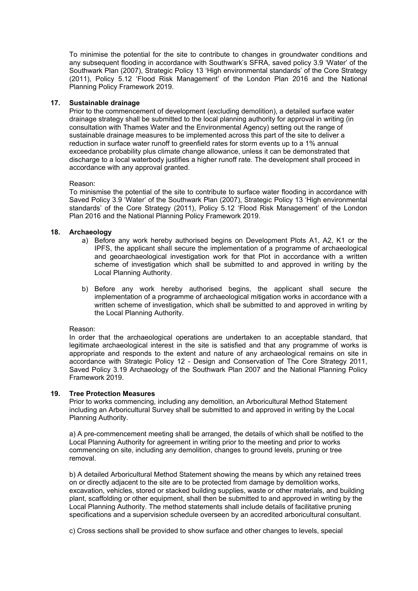To minimise the potential for the site to contribute to changes in groundwater conditions and any subsequent flooding in accordance with Southwark's SFRA, saved policy 3.9 'Water' of the Southwark Plan (2007), Strategic Policy 13 'High environmental standards' of the Core Strategy (2011), Policy 5.12 'Flood Risk Management' of the London Plan 2016 and the National Planning Policy Framework 2019.

# **17. Sustainable drainage**

Prior to the commencement of development (excluding demolition), a detailed surface water drainage strategy shall be submitted to the local planning authority for approval in writing (in consultation with Thames Water and the Environmental Agency) setting out the range of sustainable drainage measures to be implemented across this part of the site to deliver a reduction in surface water runoff to greenfield rates for storm events up to a 1% annual exceedance probability plus climate change allowance, unless it can be demonstrated that discharge to a local waterbody justifies a higher runoff rate. The development shall proceed in accordance with any approval granted.

# Reason:

To minismise the potential of the site to contribute to surface water flooding in accordance with Saved Policy 3.9 'Water' of the Southwark Plan (2007), Strategic Policy 13 'High environmental standards' of the Core Strategy (2011), Policy 5.12 'Flood Risk Management' of the London Plan 2016 and the National Planning Policy Framework 2019.

# **18. Archaeology**

- a) Before any work hereby authorised begins on Development Plots A1, A2, K1 or the IPFS, the applicant shall secure the implementation of a programme of archaeological and geoarchaeological investigation work for that Plot in accordance with a written scheme of investigation which shall be submitted to and approved in writing by the Local Planning Authority.
- b) Before any work hereby authorised begins, the applicant shall secure the implementation of a programme of archaeological mitigation works in accordance with a written scheme of investigation, which shall be submitted to and approved in writing by the Local Planning Authority.

# Reason:

In order that the archaeological operations are undertaken to an acceptable standard, that legitimate archaeological interest in the site is satisfied and that any programme of works is appropriate and responds to the extent and nature of any archaeological remains on site in accordance with Strategic Policy 12 - Design and Conservation of The Core Strategy 2011, Saved Policy 3.19 Archaeology of the Southwark Plan 2007 and the National Planning Policy Framework 2019.

# **19. Tree Protection Measures**

Prior to works commencing, including any demolition, an Arboricultural Method Statement including an Arboricultural Survey shall be submitted to and approved in writing by the Local Planning Authority.

a) A pre-commencement meeting shall be arranged, the details of which shall be notified to the Local Planning Authority for agreement in writing prior to the meeting and prior to works commencing on site, including any demolition, changes to ground levels, pruning or tree removal.

b) A detailed Arboricultural Method Statement showing the means by which any retained trees on or directly adjacent to the site are to be protected from damage by demolition works, excavation, vehicles, stored or stacked building supplies, waste or other materials, and building plant, scaffolding or other equipment, shall then be submitted to and approved in writing by the Local Planning Authority. The method statements shall include details of facilitative pruning specifications and a supervision schedule overseen by an accredited arboricultural consultant.

c) Cross sections shall be provided to show surface and other changes to levels, special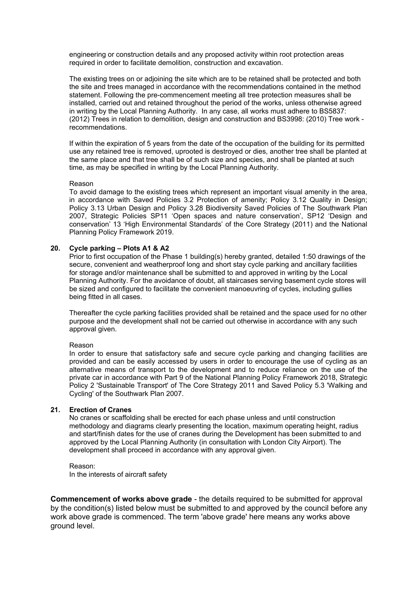engineering or construction details and any proposed activity within root protection areas required in order to facilitate demolition, construction and excavation.

The existing trees on or adjoining the site which are to be retained shall be protected and both the site and trees managed in accordance with the recommendations contained in the method statement. Following the pre-commencement meeting all tree protection measures shall be installed, carried out and retained throughout the period of the works, unless otherwise agreed in writing by the Local Planning Authority. In any case, all works must adhere to BS5837: (2012) Trees in relation to demolition, design and construction and BS3998: (2010) Tree work recommendations.

If within the expiration of 5 years from the date of the occupation of the building for its permitted use any retained tree is removed, uprooted is destroyed or dies, another tree shall be planted at the same place and that tree shall be of such size and species, and shall be planted at such time, as may be specified in writing by the Local Planning Authority.

#### Reason

To avoid damage to the existing trees which represent an important visual amenity in the area, in accordance with Saved Policies 3.2 Protection of amenity; Policy 3.12 Quality in Design; Policy 3.13 Urban Design and Policy 3.28 Biodiversity Saved Policies of The Southwark Plan 2007, Strategic Policies SP11 'Open spaces and nature conservation', SP12 'Design and conservation' 13 'High Environmental Standards' of the Core Strategy (2011) and the National Planning Policy Framework 2019.

# **20. Cycle parking – Plots A1 & A2**

Prior to first occupation of the Phase 1 building(s) hereby granted, detailed 1:50 drawings of the secure, convenient and weatherproof long and short stay cycle parking and ancillary facilities for storage and/or maintenance shall be submitted to and approved in writing by the Local Planning Authority. For the avoidance of doubt, all staircases serving basement cycle stores will be sized and configured to facilitate the convenient manoeuvring of cycles, including gullies being fitted in all cases.

Thereafter the cycle parking facilities provided shall be retained and the space used for no other purpose and the development shall not be carried out otherwise in accordance with any such approval given.

#### Reason

In order to ensure that satisfactory safe and secure cycle parking and changing facilities are provided and can be easily accessed by users in order to encourage the use of cycling as an alternative means of transport to the development and to reduce reliance on the use of the private car in accordance with Part 9 of the National Planning Policy Framework 2018, Strategic Policy 2 'Sustainable Transport' of The Core Strategy 2011 and Saved Policy 5.3 'Walking and Cycling' of the Southwark Plan 2007.

#### **21. Erection of Cranes**

No cranes or scaffolding shall be erected for each phase unless and until construction methodology and diagrams clearly presenting the location, maximum operating height, radius and start/finish dates for the use of cranes during the Development has been submitted to and approved by the Local Planning Authority (in consultation with London City Airport). The development shall proceed in accordance with any approval given.

Reason: In the interests of aircraft safety

**Commencement of works above grade** - the details required to be submitted for approval by the condition(s) listed below must be submitted to and approved by the council before any work above grade is commenced. The term 'above grade' here means any works above ground level.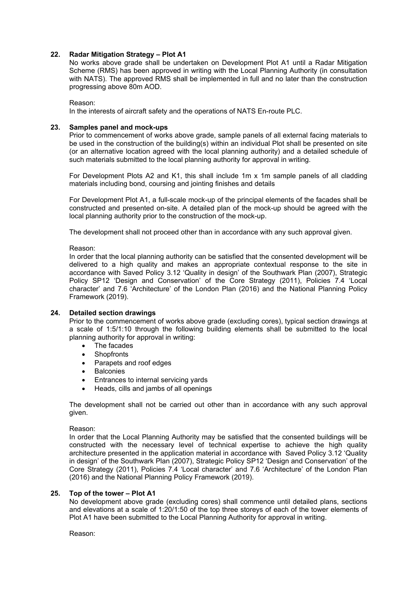# **22. Radar Mitigation Strategy – Plot A1**

No works above grade shall be undertaken on Development Plot A1 until a Radar Mitigation Scheme (RMS) has been approved in writing with the Local Planning Authority (in consultation with NATS). The approved RMS shall be implemented in full and no later than the construction progressing above 80m AOD.

Reason:

In the interests of aircraft safety and the operations of NATS En-route PLC.

# **23. Samples panel and mock-ups**

Prior to commencement of works above grade, sample panels of all external facing materials to be used in the construction of the building(s) within an individual Plot shall be presented on site (or an alternative location agreed with the local planning authority) and a detailed schedule of such materials submitted to the local planning authority for approval in writing.

For Development Plots A2 and K1, this shall include 1m x 1m sample panels of all cladding materials including bond, coursing and jointing finishes and details

For Development Plot A1, a full-scale mock-up of the principal elements of the facades shall be constructed and presented on-site. A detailed plan of the mock-up should be agreed with the local planning authority prior to the construction of the mock-up.

The development shall not proceed other than in accordance with any such approval given.

Reason:

In order that the local planning authority can be satisfied that the consented development will be delivered to a high quality and makes an appropriate contextual response to the site in accordance with Saved Policy 3.12 'Quality in design' of the Southwark Plan (2007), Strategic Policy SP12 'Design and Conservation' of the Core Strategy (2011), Policies 7.4 'Local character' and 7.6 'Architecture' of the London Plan (2016) and the National Planning Policy Framework (2019).

# **24. Detailed section drawings**

Prior to the commencement of works above grade (excluding cores), typical section drawings at a scale of 1:5/1:10 through the following building elements shall be submitted to the local planning authority for approval in writing:

- The facades
- **Shopfronts**
- Parapets and roof edges
- Balconies
- Entrances to internal servicing yards
- Heads, cills and jambs of all openings

The development shall not be carried out other than in accordance with any such approval given.

# Reason:

In order that the Local Planning Authority may be satisfied that the consented buildings will be constructed with the necessary level of technical expertise to achieve the high quality architecture presented in the application material in accordance with Saved Policy 3.12 'Quality in design' of the Southwark Plan (2007), Strategic Policy SP12 'Design and Conservation' of the Core Strategy (2011), Policies 7.4 'Local character' and 7.6 'Architecture' of the London Plan (2016) and the National Planning Policy Framework (2019).

# **25. Top of the tower – Plot A1**

No development above grade (excluding cores) shall commence until detailed plans, sections and elevations at a scale of 1:20/1:50 of the top three storeys of each of the tower elements of Plot A1 have been submitted to the Local Planning Authority for approval in writing.

Reason: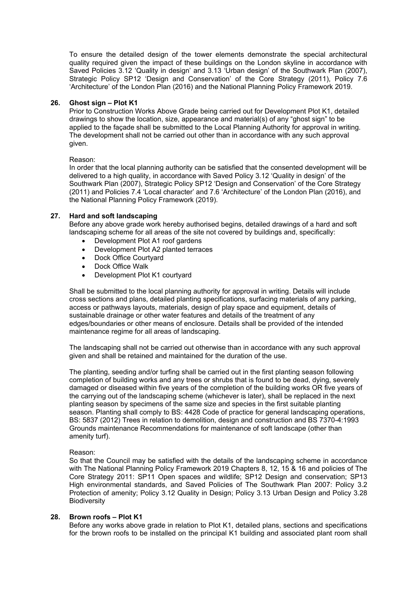To ensure the detailed design of the tower elements demonstrate the special architectural quality required given the impact of these buildings on the London skyline in accordance with Saved Policies 3.12 'Quality in design' and 3.13 'Urban design' of the Southwark Plan (2007), Strategic Policy SP12 'Design and Conservation' of the Core Strategy (2011), Policy 7.6 'Architecture' of the London Plan (2016) and the National Planning Policy Framework 2019.

# **26. Ghost sign – Plot K1**

Prior to Construction Works Above Grade being carried out for Development Plot K1, detailed drawings to show the location, size, appearance and material(s) of any "ghost sign" to be applied to the façade shall be submitted to the Local Planning Authority for approval in writing. The development shall not be carried out other than in accordance with any such approval given.

# Reason:

In order that the local planning authority can be satisfied that the consented development will be delivered to a high quality, in accordance with Saved Policy 3.12 'Quality in design' of the Southwark Plan (2007), Strategic Policy SP12 'Design and Conservation' of the Core Strategy (2011) and Policies 7.4 'Local character' and 7.6 'Architecture' of the London Plan (2016), and the National Planning Policy Framework (2019).

# **27. Hard and soft landscaping**

Before any above grade work hereby authorised begins, detailed drawings of a hard and soft landscaping scheme for all areas of the site not covered by buildings and, specifically:

- Development Plot A1 roof gardens
- Development Plot A2 planted terraces
- Dock Office Courtyard
- Dock Office Walk
- Development Plot K1 courtyard

Shall be submitted to the local planning authority for approval in writing. Details will include cross sections and plans, detailed planting specifications, surfacing materials of any parking, access or pathways layouts, materials, design of play space and equipment, details of sustainable drainage or other water features and details of the treatment of any edges/boundaries or other means of enclosure. Details shall be provided of the intended maintenance regime for all areas of landscaping.

The landscaping shall not be carried out otherwise than in accordance with any such approval given and shall be retained and maintained for the duration of the use.

The planting, seeding and/or turfing shall be carried out in the first planting season following completion of building works and any trees or shrubs that is found to be dead, dying, severely damaged or diseased within five years of the completion of the building works OR five years of the carrying out of the landscaping scheme (whichever is later), shall be replaced in the next planting season by specimens of the same size and species in the first suitable planting season. Planting shall comply to BS: 4428 Code of practice for general landscaping operations, BS: 5837 (2012) Trees in relation to demolition, design and construction and BS 7370-4:1993 Grounds maintenance Recommendations for maintenance of soft landscape (other than amenity turf).

# Reason:

So that the Council may be satisfied with the details of the landscaping scheme in accordance with The National Planning Policy Framework 2019 Chapters 8, 12, 15 & 16 and policies of The Core Strategy 2011: SP11 Open spaces and wildlife; SP12 Design and conservation; SP13 High environmental standards, and Saved Policies of The Southwark Plan 2007: Policy 3.2 Protection of amenity; Policy 3.12 Quality in Design; Policy 3.13 Urban Design and Policy 3.28 Biodiversity

# **28. Brown roofs – Plot K1**

Before any works above grade in relation to Plot K1, detailed plans, sections and specifications for the brown roofs to be installed on the principal K1 building and associated plant room shall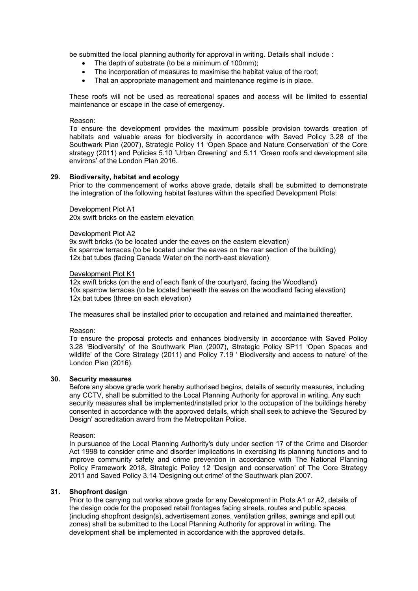be submitted the local planning authority for approval in writing. Details shall include :

- The depth of substrate (to be a minimum of 100mm);
- The incorporation of measures to maximise the habitat value of the roof;
- That an appropriate management and maintenance regime is in place.

These roofs will not be used as recreational spaces and access will be limited to essential maintenance or escape in the case of emergency.

### Reason:

To ensure the development provides the maximum possible provision towards creation of habitats and valuable areas for biodiversity in accordance with Saved Policy 3.28 of the Southwark Plan (2007), Strategic Policy 11 'Open Space and Nature Conservation' of the Core strategy (2011) and Policies 5.10 'Urban Greening' and 5.11 'Green roofs and development site environs' of the London Plan 2016.

# **29. Biodiversity, habitat and ecology**

Prior to the commencement of works above grade, details shall be submitted to demonstrate the integration of the following habitat features within the specified Development Plots:

#### Development Plot A1

20x swift bricks on the eastern elevation

#### Development Plot A2

9x swift bricks (to be located under the eaves on the eastern elevation) 6x sparrow terraces (to be located under the eaves on the rear section of the building) 12x bat tubes (facing Canada Water on the north-east elevation)

#### Development Plot K1

12x swift bricks (on the end of each flank of the courtyard, facing the Woodland) 10x sparrow terraces (to be located beneath the eaves on the woodland facing elevation) 12x bat tubes (three on each elevation)

The measures shall be installed prior to occupation and retained and maintained thereafter.

#### Reason:

To ensure the proposal protects and enhances biodiversity in accordance with Saved Policy 3.28 'Biodiversity' of the Southwark Plan (2007), Strategic Policy SP11 'Open Spaces and wildlife' of the Core Strategy (2011) and Policy 7.19 ' Biodiversity and access to nature' of the London Plan (2016).

# **30. Security measures**

Before any above grade work hereby authorised begins, details of security measures, including any CCTV, shall be submitted to the Local Planning Authority for approval in writing. Any such security measures shall be implemented/installed prior to the occupation of the buildings hereby consented in accordance with the approved details, which shall seek to achieve the 'Secured by Design' accreditation award from the Metropolitan Police.

Reason:

In pursuance of the Local Planning Authority's duty under section 17 of the Crime and Disorder Act 1998 to consider crime and disorder implications in exercising its planning functions and to improve community safety and crime prevention in accordance with The National Planning Policy Framework 2018, Strategic Policy 12 'Design and conservation' of The Core Strategy 2011 and Saved Policy 3.14 'Designing out crime' of the Southwark plan 2007.

# **31. Shopfront design**

Prior to the carrying out works above grade for any Development in Plots A1 or A2, details of the design code for the proposed retail frontages facing streets, routes and public spaces (including shopfront design(s), advertisement zones, ventilation grilles, awnings and spill out zones) shall be submitted to the Local Planning Authority for approval in writing. The development shall be implemented in accordance with the approved details.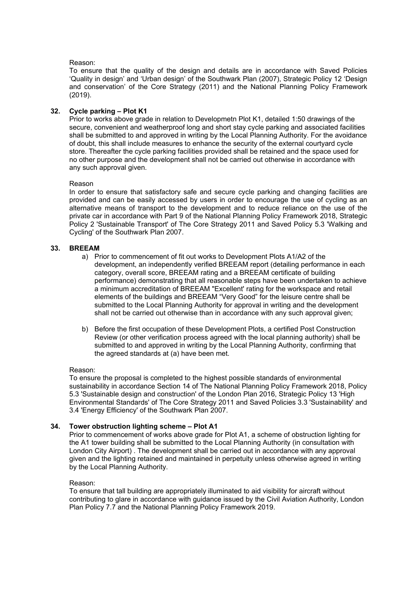# Reason:

To ensure that the quality of the design and details are in accordance with Saved Policies 'Quality in design' and 'Urban design' of the Southwark Plan (2007), Strategic Policy 12 'Design and conservation' of the Core Strategy (2011) and the National Planning Policy Framework (2019).

# **32. Cycle parking – Plot K1**

Prior to works above grade in relation to Developmetn Plot K1, detailed 1:50 drawings of the secure, convenient and weatherproof long and short stay cycle parking and associated facilities shall be submitted to and approved in writing by the Local Planning Authority. For the avoidance of doubt, this shall include measures to enhance the security of the external courtyard cycle store. Thereafter the cycle parking facilities provided shall be retained and the space used for no other purpose and the development shall not be carried out otherwise in accordance with any such approval given.

# Reason

In order to ensure that satisfactory safe and secure cycle parking and changing facilities are provided and can be easily accessed by users in order to encourage the use of cycling as an alternative means of transport to the development and to reduce reliance on the use of the private car in accordance with Part 9 of the National Planning Policy Framework 2018, Strategic Policy 2 'Sustainable Transport' of The Core Strategy 2011 and Saved Policy 5.3 'Walking and Cycling' of the Southwark Plan 2007.

# **33. BREEAM**

- a) Prior to commencement of fit out works to Development Plots A1/A2 of the development, an independently verified BREEAM report (detailing performance in each category, overall score, BREEAM rating and a BREEAM certificate of building performance) demonstrating that all reasonable steps have been undertaken to achieve a minimum accreditation of BREEAM "Excellent' rating for the workspace and retail elements of the buildings and BREEAM "Very Good" for the leisure centre shall be submitted to the Local Planning Authority for approval in writing and the development shall not be carried out otherwise than in accordance with any such approval given;
- b) Before the first occupation of these Development Plots, a certified Post Construction Review (or other verification process agreed with the local planning authority) shall be submitted to and approved in writing by the Local Planning Authority, confirming that the agreed standards at (a) have been met.

# Reason:

To ensure the proposal is completed to the highest possible standards of environmental sustainability in accordance Section 14 of The National Planning Policy Framework 2018, Policy 5.3 'Sustainable design and construction' of the London Plan 2016, Strategic Policy 13 'High Environmental Standards' of The Core Strategy 2011 and Saved Policies 3.3 'Sustainability' and 3.4 'Energy Efficiency' of the Southwark Plan 2007.

# **34. Tower obstruction lighting scheme – Plot A1**

Prior to commencement of works above grade for Plot A1, a scheme of obstruction lighting for the A1 tower building shall be submitted to the Local Planning Authority (in consultation with London City Airport) . The development shall be carried out in accordance with any approval given and the lighting retained and maintained in perpetuity unless otherwise agreed in writing by the Local Planning Authority.

# Reason:

To ensure that tall building are appropriately illuminated to aid visibility for aircraft without contributing to glare in accordance with guidance issued by the Civil Aviation Authority, London Plan Policy 7.7 and the National Planning Policy Framework 2019.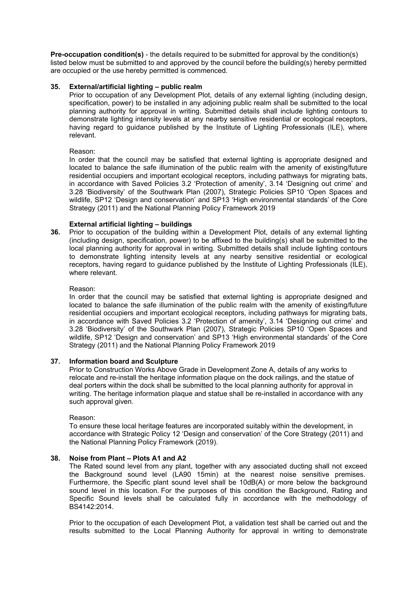**Pre-occupation condition(s)** - the details required to be submitted for approval by the condition(s) listed below must be submitted to and approved by the council before the building(s) hereby permitted are occupied or the use hereby permitted is commenced.

# **35. External/artificial lighting – public realm**

Prior to occupation of any Development Plot, details of any external lighting (including design, specification, power) to be installed in any adjoining public realm shall be submitted to the local planning authority for approval in writing. Submitted details shall include lighting contours to demonstrate lighting intensity levels at any nearby sensitive residential or ecological receptors, having regard to guidance published by the Institute of Lighting Professionals (ILE), where relevant.

# Reason:

In order that the council may be satisfied that external lighting is appropriate designed and located to balance the safe illumination of the public realm with the amenity of existing/future residential occupiers and important ecological receptors, including pathways for migrating bats, in accordance with Saved Policies 3.2 'Protection of amenity', 3.14 'Designing out crime' and 3.28 'Biodiversity' of the Southwark Plan (2007), Strategic Policies SP10 'Open Spaces and wildlife, SP12 'Design and conservation' and SP13 'High environmental standards' of the Core Strategy (2011) and the National Planning Policy Framework 2019

# **External artificial lighting – buildings**

**36.** Prior to occupation of the building within a Development Plot, details of any external lighting (including design, specification, power) to be affixed to the building(s) shall be submitted to the local planning authority for approval in writing. Submitted details shall include lighting contours to demonstrate lighting intensity levels at any nearby sensitive residential or ecological receptors, having regard to guidance published by the Institute of Lighting Professionals (ILE), where relevant.

# Reason:

In order that the council may be satisfied that external lighting is appropriate designed and located to balance the safe illumination of the public realm with the amenity of existing/future residential occupiers and important ecological receptors, including pathways for migrating bats, in accordance with Saved Policies 3.2 'Protection of amenity', 3.14 'Designing out crime' and 3.28 'Biodiversity' of the Southwark Plan (2007), Strategic Policies SP10 'Open Spaces and wildlife, SP12 'Design and conservation' and SP13 'High environmental standards' of the Core Strategy (2011) and the National Planning Policy Framework 2019

# **37. Information board and Sculpture**

Prior to Construction Works Above Grade in Development Zone A, details of any works to relocate and re-install the heritage information plaque on the dock railings, and the statue of deal porters within the dock shall be submitted to the local planning authority for approval in writing. The heritage information plaque and statue shall be re-installed in accordance with any such approval given.

# Reason:

To ensure these local heritage features are incorporated suitably within the development, in accordance with Strategic Policy 12 'Design and conservation' of the Core Strategy (2011) and the National Planning Policy Framework (2019).

# **38. Noise from Plant – Plots A1 and A2**

The Rated sound level from any plant, together with any associated ducting shall not exceed the Background sound level (LA90 15min) at the nearest noise sensitive premises. Furthermore, the Specific plant sound level shall be 10dB(A) or more below the background sound level in this location. For the purposes of this condition the Background, Rating and Specific Sound levels shall be calculated fully in accordance with the methodology of BS4142:2014.

Prior to the occupation of each Development Plot, a validation test shall be carried out and the results submitted to the Local Planning Authority for approval in writing to demonstrate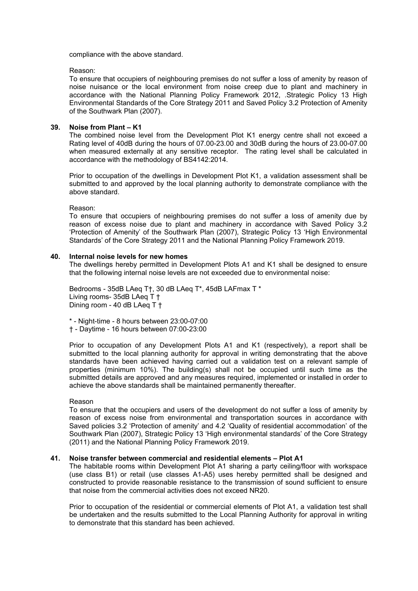compliance with the above standard.

Reason:

To ensure that occupiers of neighbouring premises do not suffer a loss of amenity by reason of noise nuisance or the local environment from noise creep due to plant and machinery in accordance with the National Planning Policy Framework 2012, .Strategic Policy 13 High Environmental Standards of the Core Strategy 2011 and Saved Policy 3.2 Protection of Amenity of the Southwark Plan (2007).

# **39. Noise from Plant – K1**

The combined noise level from the Development Plot K1 energy centre shall not exceed a Rating level of 40dB during the hours of 07.00-23.00 and 30dB during the hours of 23.00-07.00 when measured externally at any sensitive receptor. The rating level shall be calculated in accordance with the methodology of BS4142:2014.

Prior to occupation of the dwellings in Development Plot K1, a validation assessment shall be submitted to and approved by the local planning authority to demonstrate compliance with the above standard.

Reason:

To ensure that occupiers of neighbouring premises do not suffer a loss of amenity due by reason of excess noise due to plant and machinery in accordance with Saved Policy 3.2 'Protection of Amenity' of the Southwark Plan (2007), Strategic Policy 13 'High Environmental Standards' of the Core Strategy 2011 and the National Planning Policy Framework 2019.

# **40. Internal noise levels for new homes**

The dwellings hereby permitted in Development Plots A1 and K1 shall be designed to ensure that the following internal noise levels are not exceeded due to environmental noise:

Bedrooms - 35dB LAeq T†, 30 dB LAeq T\*, 45dB LAFmax T \* Living rooms- 35dB LAeq T † Dining room - 40 dB LAeq T †

- \* Night-time 8 hours between 23:00-07:00
- † Daytime 16 hours between 07:00-23:00

Prior to occupation of any Development Plots A1 and K1 (respectively), a report shall be submitted to the local planning authority for approval in writing demonstrating that the above standards have been achieved having carried out a validation test on a relevant sample of properties (minimum 10%). The building(s) shall not be occupied until such time as the submitted details are approved and any measures required, implemented or installed in order to achieve the above standards shall be maintained permanently thereafter.

#### Reason

To ensure that the occupiers and users of the development do not suffer a loss of amenity by reason of excess noise from environmental and transportation sources in accordance with Saved policies 3.2 'Protection of amenity' and 4.2 'Quality of residential accommodation' of the Southwark Plan (2007), Strategic Policy 13 'High environmental standards' of the Core Strategy (2011) and the National Planning Policy Framework 2019.

# **41. Noise transfer between commercial and residential elements – Plot A1**

The habitable rooms within Development Plot A1 sharing a party ceiling/floor with workspace (use class B1) or retail (use classes A1-A5) uses hereby permitted shall be designed and constructed to provide reasonable resistance to the transmission of sound sufficient to ensure that noise from the commercial activities does not exceed NR20.

Prior to occupation of the residential or commercial elements of Plot A1, a validation test shall be undertaken and the results submitted to the Local Planning Authority for approval in writing to demonstrate that this standard has been achieved.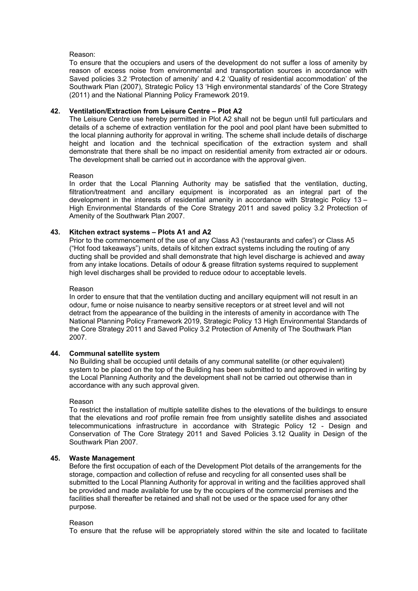# Reason:

To ensure that the occupiers and users of the development do not suffer a loss of amenity by reason of excess noise from environmental and transportation sources in accordance with Saved policies 3.2 'Protection of amenity' and 4.2 'Quality of residential accommodation' of the Southwark Plan (2007), Strategic Policy 13 'High environmental standards' of the Core Strategy (2011) and the National Planning Policy Framework 2019.

# **42. Ventilation/Extraction from Leisure Centre – Plot A2**

The Leisure Centre use hereby permitted in Plot A2 shall not be begun until full particulars and details of a scheme of extraction ventilation for the pool and pool plant have been submitted to the local planning authority for approval in writing. The scheme shall include details of discharge height and location and the technical specification of the extraction system and shall demonstrate that there shall be no impact on residential amenity from extracted air or odours. The development shall be carried out in accordance with the approval given.

# Reason

In order that the Local Planning Authority may be satisfied that the ventilation, ducting, filtration/treatment and ancillary equipment is incorporated as an integral part of the development in the interests of residential amenity in accordance with Strategic Policy 13 – High Environmental Standards of the Core Strategy 2011 and saved policy 3.2 Protection of Amenity of the Southwark Plan 2007.

# **43. Kitchen extract systems – Plots A1 and A2**

Prior to the commencement of the use of any Class A3 ('restaurants and cafes') or Class A5 ("Hot food takeaways") units, details of kitchen extract systems including the routing of any ducting shall be provided and shall demonstrate that high level discharge is achieved and away from any intake locations. Details of odour & grease filtration systems required to supplement high level discharges shall be provided to reduce odour to acceptable levels.

# Reason

In order to ensure that that the ventilation ducting and ancillary equipment will not result in an odour, fume or noise nuisance to nearby sensitive receptors or at street level and will not detract from the appearance of the building in the interests of amenity in accordance with The National Planning Policy Framework 2019, Strategic Policy 13 High Environmental Standards of the Core Strategy 2011 and Saved Policy 3.2 Protection of Amenity of The Southwark Plan 2007.

# **44. Communal satellite system**

No Building shall be occupied until details of any communal satellite (or other equivalent) system to be placed on the top of the Building has been submitted to and approved in writing by the Local Planning Authority and the development shall not be carried out otherwise than in accordance with any such approval given.

# Reason

To restrict the installation of multiple satellite dishes to the elevations of the buildings to ensure that the elevations and roof profile remain free from unsightly satellite dishes and associated telecommunications infrastructure in accordance with Strategic Policy 12 - Design and Conservation of The Core Strategy 2011 and Saved Policies 3.12 Quality in Design of the Southwark Plan 2007.

# **45. Waste Management**

Before the first occupation of each of the Development Plot details of the arrangements for the storage, compaction and collection of refuse and recycling for all consented uses shall be submitted to the Local Planning Authority for approval in writing and the facilities approved shall be provided and made available for use by the occupiers of the commercial premises and the facilities shall thereafter be retained and shall not be used or the space used for any other purpose.

# Reason

To ensure that the refuse will be appropriately stored within the site and located to facilitate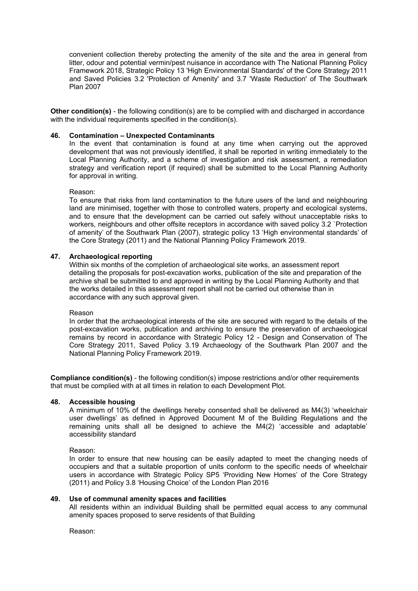convenient collection thereby protecting the amenity of the site and the area in general from litter, odour and potential vermin/pest nuisance in accordance with The National Planning Policy Framework 2018, Strategic Policy 13 'High Environmental Standards' of the Core Strategy 2011 and Saved Policies 3.2 'Protection of Amenity' and 3.7 'Waste Reduction' of The Southwark Plan 2007

**Other condition(s)** - the following condition(s) are to be complied with and discharged in accordance with the individual requirements specified in the condition(s).

### **46. Contamination – Unexpected Contaminants**

In the event that contamination is found at any time when carrying out the approved development that was not previously identified, it shall be reported in writing immediately to the Local Planning Authority, and a scheme of investigation and risk assessment, a remediation strategy and verification report (if required) shall be submitted to the Local Planning Authority for approval in writing.

#### Reason:

To ensure that risks from land contamination to the future users of the land and neighbouring land are minimised, together with those to controlled waters, property and ecological systems, and to ensure that the development can be carried out safely without unacceptable risks to workers, neighbours and other offsite receptors in accordance with saved policy 3.2 `Protection of amenity' of the Southwark Plan (2007), strategic policy 13 'High environmental standards' of the Core Strategy (2011) and the National Planning Policy Framework 2019.

# **47. Archaeological reporting**

Within six months of the completion of archaeological site works, an assessment report detailing the proposals for post-excavation works, publication of the site and preparation of the archive shall be submitted to and approved in writing by the Local Planning Authority and that the works detailed in this assessment report shall not be carried out otherwise than in accordance with any such approval given.

#### Reason

In order that the archaeological interests of the site are secured with regard to the details of the post-excavation works, publication and archiving to ensure the preservation of archaeological remains by record in accordance with Strategic Policy 12 - Design and Conservation of The Core Strategy 2011, Saved Policy 3.19 Archaeology of the Southwark Plan 2007 and the National Planning Policy Framework 2019.

**Compliance condition(s)** - the following condition(s) impose restrictions and/or other requirements that must be complied with at all times in relation to each Development Plot.

# **48. Accessible housing**

A minimum of 10% of the dwellings hereby consented shall be delivered as M4(3) 'wheelchair user dwellings' as defined in Approved Document M of the Building Regulations and the remaining units shall all be designed to achieve the M4(2) 'accessible and adaptable' accessibility standard

Reason:

In order to ensure that new housing can be easily adapted to meet the changing needs of occupiers and that a suitable proportion of units conform to the specific needs of wheelchair users in accordance with Strategic Policy SP5 'Providing New Homes' of the Core Strategy (2011) and Policy 3.8 'Housing Choice' of the London Plan 2016

#### **49. Use of communal amenity spaces and facilities**

All residents within an individual Building shall be permitted equal access to any communal amenity spaces proposed to serve residents of that Building

Reason: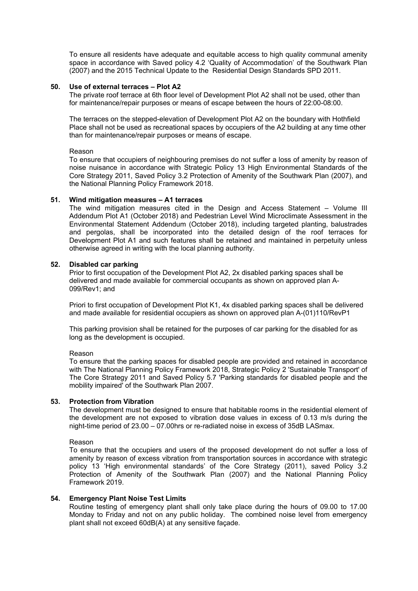To ensure all residents have adequate and equitable access to high quality communal amenity space in accordance with Saved policy 4.2 'Quality of Accommodation' of the Southwark Plan (2007) and the 2015 Technical Update to the Residential Design Standards SPD 2011.

# **50. Use of external terraces – Plot A2**

The private roof terrace at 6th floor level of Development Plot A2 shall not be used, other than for maintenance/repair purposes or means of escape between the hours of 22:00-08:00.

The terraces on the stepped-elevation of Development Plot A2 on the boundary with Hothfield Place shall not be used as recreational spaces by occupiers of the A2 building at any time other than for maintenance/repair purposes or means of escape.

#### Reason

To ensure that occupiers of neighbouring premises do not suffer a loss of amenity by reason of noise nuisance in accordance with Strategic Policy 13 High Environmental Standards of the Core Strategy 2011, Saved Policy 3.2 Protection of Amenity of the Southwark Plan (2007), and the National Planning Policy Framework 2018.

#### **51. Wind mitigation measures – A1 terraces**

The wind mitigation measures cited in the Design and Access Statement – Volume III Addendum Plot A1 (October 2018) and Pedestrian Level Wind Microclimate Assessment in the Environmental Statement Addendum (October 2018), including targeted planting, balustrades and pergolas, shall be incorporated into the detailed design of the roof terraces for Development Plot A1 and such features shall be retained and maintained in perpetuity unless otherwise agreed in writing with the local planning authority.

#### **52. Disabled car parking**

Prior to first occupation of the Development Plot A2, 2x disabled parking spaces shall be delivered and made available for commercial occupants as shown on approved plan A-099/Rev1; and

Priori to first occupation of Development Plot K1, 4x disabled parking spaces shall be delivered and made available for residential occupiers as shown on approved plan A-(01)110/RevP1

This parking provision shall be retained for the purposes of car parking for the disabled for as long as the development is occupied.

#### Reason

To ensure that the parking spaces for disabled people are provided and retained in accordance with The National Planning Policy Framework 2018, Strategic Policy 2 'Sustainable Transport' of The Core Strategy 2011 and Saved Policy 5.7 'Parking standards for disabled people and the mobility impaired' of the Southwark Plan 2007.

#### **53. Protection from Vibration**

The development must be designed to ensure that habitable rooms in the residential element of the development are not exposed to vibration dose values in excess of 0.13 m/s during the night-time period of 23.00 – 07.00hrs or re-radiated noise in excess of 35dB LASmax.

#### Reason

To ensure that the occupiers and users of the proposed development do not suffer a loss of amenity by reason of excess vibration from transportation sources in accordance with strategic policy 13 'High environmental standards' of the Core Strategy (2011), saved Policy 3.2 Protection of Amenity of the Southwark Plan (2007) and the National Planning Policy Framework 2019.

# **54. Emergency Plant Noise Test Limits**

Routine testing of emergency plant shall only take place during the hours of 09.00 to 17.00 Monday to Friday and not on any public holiday. The combined noise level from emergency plant shall not exceed 60dB(A) at any sensitive façade.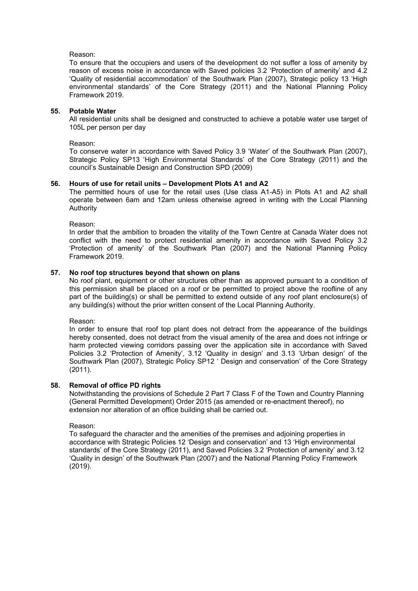## Reason:

To ensure that the occupiers and users of the development do not suffer a loss of amenity by reason of excess noise in accordance with Saved policies 3.2 'Protection of amenity' and 4.2 'Quality of residential accommodation' of the Southwark Plan (2007), Strategic policy 13 'High environmental standards' of the Core Strategy (2011) and the National Planning Policy Framework 2019.

# **55. Potable Water**

All residential units shall be designed and constructed to achieve a potable water use target of 105L per person per day

#### Reason:

To conserve water in accordance with Saved Policy 3.9 'Water' of the Southwark Plan (2007), Strategic Policy SP13 'High Environmental Standards' of the Core Strategy (2011) and the council's Sustainable Design and Construction SPD (2009)

# **56. Hours of use for retail units – Development Plots A1 and A2**

The permitted hours of use for the retail uses (Use class A1-A5) in Plots A1 and A2 shall operate between 6am and 12am unless otherwise agreed in writing with the Local Planning Authority

Reason:

In order that the ambition to broaden the vitality of the Town Centre at Canada Water does not conflict with the need to protect residential amenity in accordance with Saved Policy 3.2 'Protection of amenity' of the Southwark Plan (2007) and the National Planning Policy Framework 2019.

# **57. No roof top structures beyond that shown on plans**

No roof plant, equipment or other structures other than as approved pursuant to a condition of this permission shall be placed on a roof or be permitted to project above the roofline of any part of the building(s) or shall be permitted to extend outside of any roof plant enclosure(s) of any building(s) without the prior written consent of the Local Planning Authority.

Reason:

In order to ensure that roof top plant does not detract from the appearance of the buildings hereby consented, does not detract from the visual amenity of the area and does not infringe or harm protected viewing corridors passing over the application site in accordance with Saved Policies 3.2 'Protection of Amenity', 3.12 'Quality in design' and 3.13 'Urban design' of the Southwark Plan (2007), Strategic Policy SP12 ' Design and conservation' of the Core Strategy (2011).

#### **58. Removal of office PD rights**

Notwithstanding the provisions of Schedule 2 Part 7 Class F of the Town and Country Planning (General Permitted Development) Order 2015 (as amended or re-enactment thereof), no extension nor alteration of an office building shall be carried out.

#### Reason:

To safeguard the character and the amenities of the premises and adjoining properties in accordance with Strategic Policies 12 'Design and conservation' and 13 'High environmental standards' of the Core Strategy (2011), and Saved Policies 3.2 'Protection of amenity' and 3.12 'Quality in design' of the Southwark Plan (2007) and the National Planning Policy Framework (2019).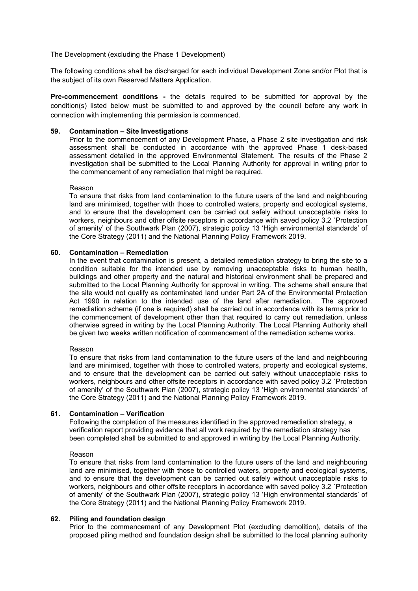# The Development (excluding the Phase 1 Development)

The following conditions shall be discharged for each individual Development Zone and/or Plot that is the subject of its own Reserved Matters Application.

**Pre-commencement conditions -** the details required to be submitted for approval by the condition(s) listed below must be submitted to and approved by the council before any work in connection with implementing this permission is commenced.

### **59. Contamination – Site Investigations**

Prior to the commencement of any Development Phase, a Phase 2 site investigation and risk assessment shall be conducted in accordance with the approved Phase 1 desk-based assessment detailed in the approved Environmental Statement. The results of the Phase 2 investigation shall be submitted to the Local Planning Authority for approval in writing prior to the commencement of any remediation that might be required.

#### Reason

To ensure that risks from land contamination to the future users of the land and neighbouring land are minimised, together with those to controlled waters, property and ecological systems, and to ensure that the development can be carried out safely without unacceptable risks to workers, neighbours and other offsite receptors in accordance with saved policy 3.2 `Protection of amenity' of the Southwark Plan (2007), strategic policy 13 'High environmental standards' of the Core Strategy (2011) and the National Planning Policy Framework 2019.

#### **60. Contamination – Remediation**

In the event that contamination is present, a detailed remediation strategy to bring the site to a condition suitable for the intended use by removing unacceptable risks to human health, buildings and other property and the natural and historical environment shall be prepared and submitted to the Local Planning Authority for approval in writing. The scheme shall ensure that the site would not qualify as contaminated land under Part 2A of the Environmental Protection Act 1990 in relation to the intended use of the land after remediation. The approved remediation scheme (if one is required) shall be carried out in accordance with its terms prior to the commencement of development other than that required to carry out remediation, unless otherwise agreed in writing by the Local Planning Authority. The Local Planning Authority shall be given two weeks written notification of commencement of the remediation scheme works.

#### Reason

To ensure that risks from land contamination to the future users of the land and neighbouring land are minimised, together with those to controlled waters, property and ecological systems, and to ensure that the development can be carried out safely without unacceptable risks to workers, neighbours and other offsite receptors in accordance with saved policy 3.2 `Protection of amenity' of the Southwark Plan (2007), strategic policy 13 'High environmental standards' of the Core Strategy (2011) and the National Planning Policy Framework 2019.

### **61. Contamination – Verification**

Following the completion of the measures identified in the approved remediation strategy, a verification report providing evidence that all work required by the remediation strategy has been completed shall be submitted to and approved in writing by the Local Planning Authority.

#### Reason

To ensure that risks from land contamination to the future users of the land and neighbouring land are minimised, together with those to controlled waters, property and ecological systems, and to ensure that the development can be carried out safely without unacceptable risks to workers, neighbours and other offsite receptors in accordance with saved policy 3.2 `Protection of amenity' of the Southwark Plan (2007), strategic policy 13 'High environmental standards' of the Core Strategy (2011) and the National Planning Policy Framework 2019.

# **62. Piling and foundation design**

Prior to the commencement of any Development Plot (excluding demolition), details of the proposed piling method and foundation design shall be submitted to the local planning authority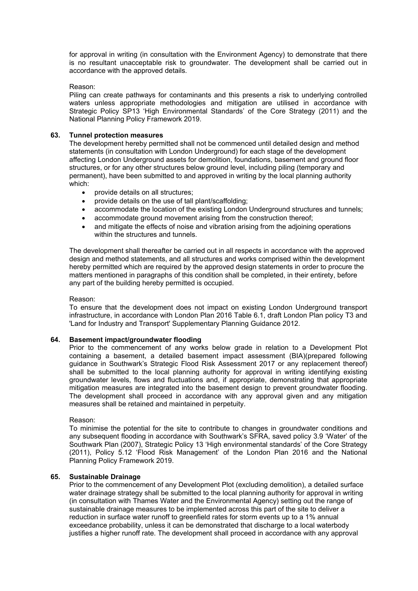for approval in writing (in consultation with the Environment Agency) to demonstrate that there is no resultant unacceptable risk to groundwater. The development shall be carried out in accordance with the approved details.

# Reason:

Piling can create pathways for contaminants and this presents a risk to underlying controlled waters unless appropriate methodologies and mitigation are utilised in accordance with Strategic Policy SP13 'High Environmental Standards' of the Core Strategy (2011) and the National Planning Policy Framework 2019.

# **63. Tunnel protection measures**

The development hereby permitted shall not be commenced until detailed design and method statements (in consultation with London Underground) for each stage of the development affecting London Underground assets for demolition, foundations, basement and ground floor structures, or for any other structures below ground level, including piling (temporary and permanent), have been submitted to and approved in writing by the local planning authority which:

- provide details on all structures;
- provide details on the use of tall plant/scaffolding;
- accommodate the location of the existing London Underground structures and tunnels;
- accommodate ground movement arising from the construction thereof;
- and mitigate the effects of noise and vibration arising from the adjoining operations within the structures and tunnels.

The development shall thereafter be carried out in all respects in accordance with the approved design and method statements, and all structures and works comprised within the development hereby permitted which are required by the approved design statements in order to procure the matters mentioned in paragraphs of this condition shall be completed, in their entirety, before any part of the building hereby permitted is occupied.

# Reason:

To ensure that the development does not impact on existing London Underground transport infrastructure, in accordance with London Plan 2016 Table 6.1, draft London Plan policy T3 and 'Land for Industry and Transport' Supplementary Planning Guidance 2012.

# **64. Basement impact/groundwater flooding**

Prior to the commencement of any works below grade in relation to a Development Plot containing a basement, a detailed basement impact assessment (BIA)(prepared following guidance in Southwark's Strategic Flood Risk Assessment 2017 or any replacement thereof) shall be submitted to the local planning authority for approval in writing identifying existing groundwater levels, flows and fluctuations and, if appropriate, demonstrating that appropriate mitigation measures are integrated into the basement design to prevent groundwater flooding. The development shall proceed in accordance with any approval given and any mitigation measures shall be retained and maintained in perpetuity.

# Reason:

To minimise the potential for the site to contribute to changes in groundwater conditions and any subsequent flooding in accordance with Southwark's SFRA, saved policy 3.9 'Water' of the Southwark Plan (2007), Strategic Policy 13 'High environmental standards' of the Core Strategy (2011), Policy 5.12 'Flood Risk Management' of the London Plan 2016 and the National Planning Policy Framework 2019.

# **65. Sustainable Drainage**

Prior to the commencement of any Development Plot (excluding demolition), a detailed surface water drainage strategy shall be submitted to the local planning authority for approval in writing (in consultation with Thames Water and the Environmental Agency) setting out the range of sustainable drainage measures to be implemented across this part of the site to deliver a reduction in surface water runoff to greenfield rates for storm events up to a 1% annual exceedance probability, unless it can be demonstrated that discharge to a local waterbody justifies a higher runoff rate. The development shall proceed in accordance with any approval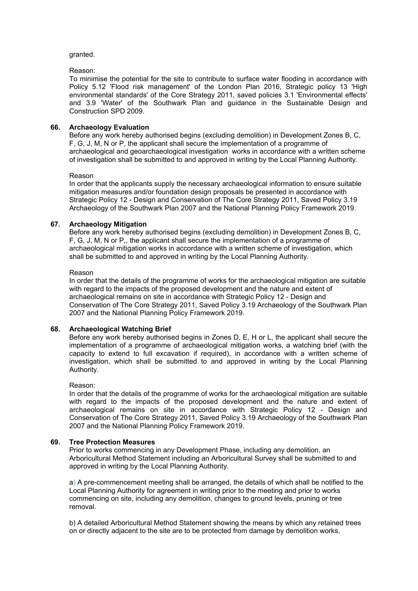# granted.

# Reason:

To minimise the potential for the site to contribute to surface water flooding in accordance with Policy 5.12 'Flood risk management' of the London Plan 2016, Strategic policy 13 'High environmental standards' of the Core Strategy 2011, saved policies 3.1 'Environmental effects' and 3.9 'Water' of the Southwark Plan and guidance in the Sustainable Design and Construction SPD 2009.

# **66. Archaeology Evaluation**

Before any work hereby authorised begins (excluding demolition) in Development Zones B, C, F, G, J, M, N or P, the applicant shall secure the implementation of a programme of archaeological and geoarchaeological investigation works in accordance with a written scheme of investigation shall be submitted to and approved in writing by the Local Planning Authority.

# Reason

In order that the applicants supply the necessary archaeological information to ensure suitable mitigation measures and/or foundation design proposals be presented in accordance with Strategic Policy 12 - Design and Conservation of The Core Strategy 2011, Saved Policy 3.19 Archaeology of the Southwark Plan 2007 and the National Planning Policy Framework 2019.

# **67. Archaeology Mitigation**

Before any work hereby authorised begins (excluding demolition) in Development Zones B, C, F, G, J, M, N or P,, the applicant shall secure the implementation of a programme of archaeological mitigation works in accordance with a written scheme of investigation, which shall be submitted to and approved in writing by the Local Planning Authority.

# Reason

In order that the details of the programme of works for the archaeological mitigation are suitable with regard to the impacts of the proposed development and the nature and extent of archaeological remains on site in accordance with Strategic Policy 12 - Design and Conservation of The Core Strategy 2011, Saved Policy 3.19 Archaeology of the Southwark Plan 2007 and the National Planning Policy Framework 2019.

# **68. Archaeological Watching Brief**

Before any work hereby authorised begins in Zones D, E, H or L, the applicant shall secure the implementation of a programme of archaeological mitigation works, a watching brief (with the capacity to extend to full excavation if required), in accordance with a written scheme of investigation, which shall be submitted to and approved in writing by the Local Planning Authority.

# Reason:

In order that the details of the programme of works for the archaeological mitigation are suitable with regard to the impacts of the proposed development and the nature and extent of archaeological remains on site in accordance with Strategic Policy 12 - Design and Conservation of The Core Strategy 2011, Saved Policy 3.19 Archaeology of the Southwark Plan 2007 and the National Planning Policy Framework 2019.

# **69. Tree Protection Measures**

Prior to works commencing in any Development Phase, including any demolition, an Arboricultural Method Statement including an Arboricultural Survey shall be submitted to and approved in writing by the Local Planning Authority.

a) A pre-commencement meeting shall be arranged, the details of which shall be notified to the Local Planning Authority for agreement in writing prior to the meeting and prior to works commencing on site, including any demolition, changes to ground levels, pruning or tree removal.

b) A detailed Arboricultural Method Statement showing the means by which any retained trees on or directly adjacent to the site are to be protected from damage by demolition works,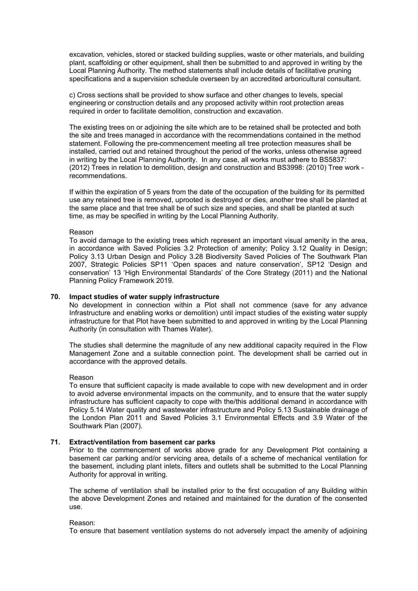excavation, vehicles, stored or stacked building supplies, waste or other materials, and building plant, scaffolding or other equipment, shall then be submitted to and approved in writing by the Local Planning Authority. The method statements shall include details of facilitative pruning specifications and a supervision schedule overseen by an accredited arboricultural consultant.

c) Cross sections shall be provided to show surface and other changes to levels, special engineering or construction details and any proposed activity within root protection areas required in order to facilitate demolition, construction and excavation.

The existing trees on or adjoining the site which are to be retained shall be protected and both the site and trees managed in accordance with the recommendations contained in the method statement. Following the pre-commencement meeting all tree protection measures shall be installed, carried out and retained throughout the period of the works, unless otherwise agreed in writing by the Local Planning Authority. In any case, all works must adhere to BS5837: (2012) Trees in relation to demolition, design and construction and BS3998: (2010) Tree work recommendations.

If within the expiration of 5 years from the date of the occupation of the building for its permitted use any retained tree is removed, uprooted is destroyed or dies, another tree shall be planted at the same place and that tree shall be of such size and species, and shall be planted at such time, as may be specified in writing by the Local Planning Authority.

#### Reason

To avoid damage to the existing trees which represent an important visual amenity in the area, in accordance with Saved Policies 3.2 Protection of amenity; Policy 3.12 Quality in Design; Policy 3.13 Urban Design and Policy 3.28 Biodiversity Saved Policies of The Southwark Plan 2007, Strategic Policies SP11 'Open spaces and nature conservation', SP12 'Design and conservation' 13 'High Environmental Standards' of the Core Strategy (2011) and the National Planning Policy Framework 2019.

### **70. Impact studies of water supply infrastructure**

No development in connection within a Plot shall not commence (save for any advance Infrastructure and enabling works or demolition) until impact studies of the existing water supply infrastructure for that Plot have been submitted to and approved in writing by the Local Planning Authority (in consultation with Thames Water).

The studies shall determine the magnitude of any new additional capacity required in the Flow Management Zone and a suitable connection point. The development shall be carried out in accordance with the approved details.

#### Reason

To ensure that sufficient capacity is made available to cope with new development and in order to avoid adverse environmental impacts on the community, and to ensure that the water supply infrastructure has sufficient capacity to cope with the/this additional demand in accordance with Policy 5.14 Water quality and wastewater infrastructure and Policy 5.13 Sustainable drainage of the London Plan 2011 and Saved Policies 3.1 Environmental Effects and 3.9 Water of the Southwark Plan (2007).

# **71. Extract/ventilation from basement car parks**

Prior to the commencement of works above grade for any Development Plot containing a basement car parking and/or servicing area, details of a scheme of mechanical ventilation for the basement, including plant inlets, filters and outlets shall be submitted to the Local Planning Authority for approval in writing.

The scheme of ventilation shall be installed prior to the first occupation of any Building within the above Development Zones and retained and maintained for the duration of the consented use.

# Reason:

To ensure that basement ventilation systems do not adversely impact the amenity of adjoining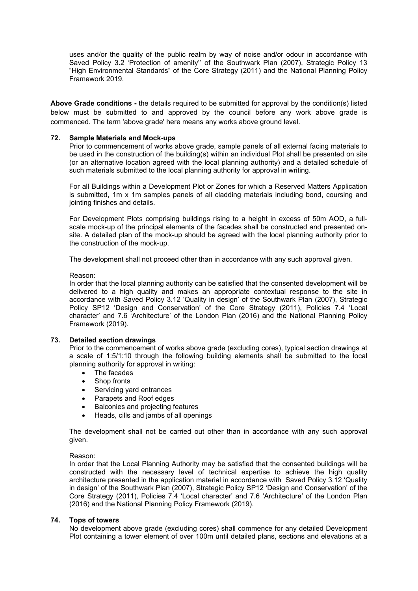uses and/or the quality of the public realm by way of noise and/or odour in accordance with Saved Policy 3.2 'Protection of amenity'' of the Southwark Plan (2007), Strategic Policy 13 "High Environmental Standards" of the Core Strategy (2011) and the National Planning Policy Framework 2019.

**Above Grade conditions -** the details required to be submitted for approval by the condition(s) listed below must be submitted to and approved by the council before any work above grade is commenced. The term 'above grade' here means any works above ground level.

# **72. Sample Materials and Mock-ups**

Prior to commencement of works above grade, sample panels of all external facing materials to be used in the construction of the building(s) within an individual Plot shall be presented on site (or an alternative location agreed with the local planning authority) and a detailed schedule of such materials submitted to the local planning authority for approval in writing.

For all Buildings within a Development Plot or Zones for which a Reserved Matters Application is submitted, 1m x 1m samples panels of all cladding materials including bond, coursing and jointing finishes and details.

For Development Plots comprising buildings rising to a height in excess of 50m AOD, a fullscale mock-up of the principal elements of the facades shall be constructed and presented onsite. A detailed plan of the mock-up should be agreed with the local planning authority prior to the construction of the mock-up.

The development shall not proceed other than in accordance with any such approval given.

Reason:

In order that the local planning authority can be satisfied that the consented development will be delivered to a high quality and makes an appropriate contextual response to the site in accordance with Saved Policy 3.12 'Quality in design' of the Southwark Plan (2007), Strategic Policy SP12 'Design and Conservation' of the Core Strategy (2011), Policies 7.4 'Local character' and 7.6 'Architecture' of the London Plan (2016) and the National Planning Policy Framework (2019).

# **73. Detailed section drawings**

Prior to the commencement of works above grade (excluding cores), typical section drawings at a scale of 1:5/1:10 through the following building elements shall be submitted to the local planning authority for approval in writing:

- The facades
- Shop fronts
- Servicing yard entrances
- Parapets and Roof edges
- Balconies and projecting features
- Heads, cills and jambs of all openings

The development shall not be carried out other than in accordance with any such approval given.

# Reason:

In order that the Local Planning Authority may be satisfied that the consented buildings will be constructed with the necessary level of technical expertise to achieve the high quality architecture presented in the application material in accordance with Saved Policy 3.12 'Quality in design' of the Southwark Plan (2007), Strategic Policy SP12 'Design and Conservation' of the Core Strategy (2011), Policies 7.4 'Local character' and 7.6 'Architecture' of the London Plan (2016) and the National Planning Policy Framework (2019).

# **74. Tops of towers**

No development above grade (excluding cores) shall commence for any detailed Development Plot containing a tower element of over 100m until detailed plans, sections and elevations at a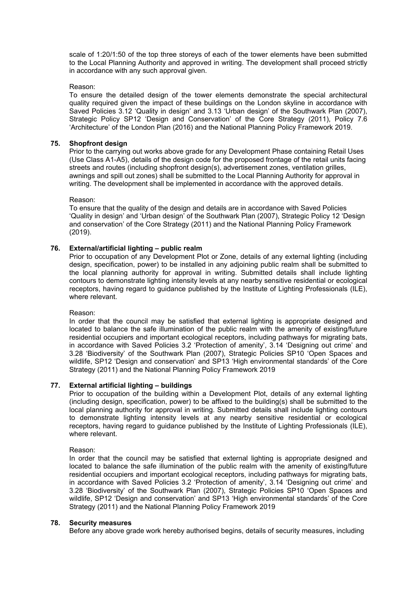scale of 1:20/1:50 of the top three storeys of each of the tower elements have been submitted to the Local Planning Authority and approved in writing. The development shall proceed strictly in accordance with any such approval given.

# Reason:

To ensure the detailed design of the tower elements demonstrate the special architectural quality required given the impact of these buildings on the London skyline in accordance with Saved Policies 3.12 'Quality in design' and 3.13 'Urban design' of the Southwark Plan (2007), Strategic Policy SP12 'Design and Conservation' of the Core Strategy (2011), Policy 7.6 'Architecture' of the London Plan (2016) and the National Planning Policy Framework 2019.

# **75. Shopfront design**

Prior to the carrying out works above grade for any Development Phase containing Retail Uses (Use Class A1-A5), details of the design code for the proposed frontage of the retail units facing streets and routes (including shopfront design(s), advertisement zones, ventilation grilles, awnings and spill out zones) shall be submitted to the Local Planning Authority for approval in writing. The development shall be implemented in accordance with the approved details.

Reason:

To ensure that the quality of the design and details are in accordance with Saved Policies 'Quality in design' and 'Urban design' of the Southwark Plan (2007), Strategic Policy 12 'Design and conservation' of the Core Strategy (2011) and the National Planning Policy Framework (2019).

# **76. External/artificial lighting – public realm**

Prior to occupation of any Development Plot or Zone, details of any external lighting (including design, specification, power) to be installed in any adjoining public realm shall be submitted to the local planning authority for approval in writing. Submitted details shall include lighting contours to demonstrate lighting intensity levels at any nearby sensitive residential or ecological receptors, having regard to guidance published by the Institute of Lighting Professionals (ILE), where relevant.

# Reason:

In order that the council may be satisfied that external lighting is appropriate designed and located to balance the safe illumination of the public realm with the amenity of existing/future residential occupiers and important ecological receptors, including pathways for migrating bats, in accordance with Saved Policies 3.2 'Protection of amenity', 3.14 'Designing out crime' and 3.28 'Biodiversity' of the Southwark Plan (2007), Strategic Policies SP10 'Open Spaces and wildlife, SP12 'Design and conservation' and SP13 'High environmental standards' of the Core Strategy (2011) and the National Planning Policy Framework 2019

# **77. External artificial lighting – buildings**

Prior to occupation of the building within a Development Plot, details of any external lighting (including design, specification, power) to be affixed to the building(s) shall be submitted to the local planning authority for approval in writing. Submitted details shall include lighting contours to demonstrate lighting intensity levels at any nearby sensitive residential or ecological receptors, having regard to guidance published by the Institute of Lighting Professionals (ILE), where relevant.

Reason:

In order that the council may be satisfied that external lighting is appropriate designed and located to balance the safe illumination of the public realm with the amenity of existing/future residential occupiers and important ecological receptors, including pathways for migrating bats, in accordance with Saved Policies 3.2 'Protection of amenity', 3.14 'Designing out crime' and 3.28 'Biodiversity' of the Southwark Plan (2007), Strategic Policies SP10 'Open Spaces and wildlife, SP12 'Design and conservation' and SP13 'High environmental standards' of the Core Strategy (2011) and the National Planning Policy Framework 2019

# **78. Security measures**

Before any above grade work hereby authorised begins, details of security measures, including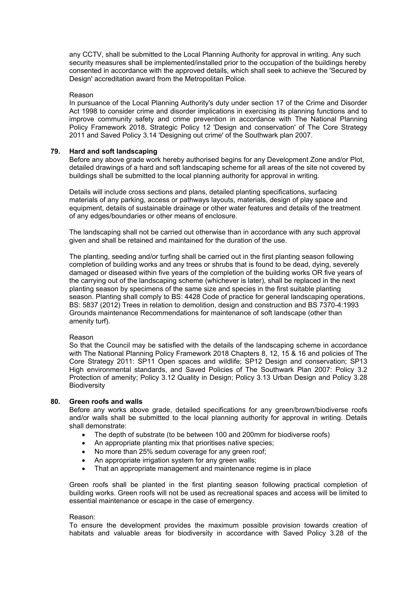any CCTV, shall be submitted to the Local Planning Authority for approval in writing. Any such security measures shall be implemented/installed prior to the occupation of the buildings hereby consented in accordance with the approved details, which shall seek to achieve the 'Secured by Design' accreditation award from the Metropolitan Police.

### Reason

In pursuance of the Local Planning Authority's duty under section 17 of the Crime and Disorder Act 1998 to consider crime and disorder implications in exercising its planning functions and to improve community safety and crime prevention in accordance with The National Planning Policy Framework 2018, Strategic Policy 12 'Design and conservation' of The Core Strategy 2011 and Saved Policy 3.14 'Designing out crime' of the Southwark plan 2007.

# **79. Hard and soft landscaping**

Before any above grade work hereby authorised begins for any Development Zone and/or Plot, detailed drawings of a hard and soft landscaping scheme for all areas of the site not covered by buildings shall be submitted to the local planning authority for approval in writing.

Details will include cross sections and plans, detailed planting specifications, surfacing materials of any parking, access or pathways layouts, materials, design of play space and equipment, details of sustainable drainage or other water features and details of the treatment of any edges/boundaries or other means of enclosure.

The landscaping shall not be carried out otherwise than in accordance with any such approval given and shall be retained and maintained for the duration of the use.

The planting, seeding and/or turfing shall be carried out in the first planting season following completion of building works and any trees or shrubs that is found to be dead, dying, severely damaged or diseased within five years of the completion of the building works OR five years of the carrying out of the landscaping scheme (whichever is later), shall be replaced in the next planting season by specimens of the same size and species in the first suitable planting season. Planting shall comply to BS: 4428 Code of practice for general landscaping operations, BS: 5837 (2012) Trees in relation to demolition, design and construction and BS 7370-4:1993 Grounds maintenance Recommendations for maintenance of soft landscape (other than amenity turf).

#### Reason

So that the Council may be satisfied with the details of the landscaping scheme in accordance with The National Planning Policy Framework 2018 Chapters 8, 12, 15 & 16 and policies of The Core Strategy 2011: SP11 Open spaces and wildlife; SP12 Design and conservation; SP13 High environmental standards, and Saved Policies of The Southwark Plan 2007: Policy 3.2 Protection of amenity; Policy 3.12 Quality in Design; Policy 3.13 Urban Design and Policy 3.28 Biodiversity

# **80. Green roofs and walls**

Before any works above grade, detailed specifications for any green/brown/biodiverse roofs and/or walls shall be submitted to the local planning authority for approval in writing. Details shall demonstrate:

- The depth of substrate (to be between 100 and 200mm for biodiverse roofs)
- An appropriate planting mix that prioritises native species;
- No more than 25% sedum coverage for any green roof;
- An appropriate irrigation system for any green walls;
- That an appropriate management and maintenance regime is in place

Green roofs shall be planted in the first planting season following practical completion of building works. Green roofs will not be used as recreational spaces and access will be limited to essential maintenance or escape in the case of emergency.

#### Reason:

To ensure the development provides the maximum possible provision towards creation of habitats and valuable areas for biodiversity in accordance with Saved Policy 3.28 of the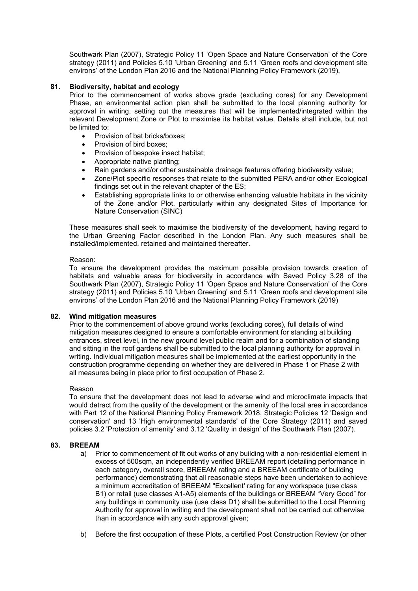Southwark Plan (2007), Strategic Policy 11 'Open Space and Nature Conservation' of the Core strategy (2011) and Policies 5.10 'Urban Greening' and 5.11 'Green roofs and development site environs' of the London Plan 2016 and the National Planning Policy Framework (2019).

# **81. Biodiversity, habitat and ecology**

Prior to the commencement of works above grade (excluding cores) for any Development Phase, an environmental action plan shall be submitted to the local planning authority for approval in writing, setting out the measures that will be implemented/integrated within the relevant Development Zone or Plot to maximise its habitat value. Details shall include, but not be limited to:

- Provision of bat bricks/boxes;
- Provision of bird boxes;
- Provision of bespoke insect habitat;
- Appropriate native planting;
- Rain gardens and/or other sustainable drainage features offering biodiversity value;
- Zone/Plot specific responses that relate to the submitted PERA and/or other Ecological findings set out in the relevant chapter of the ES;
- Establishing appropriate links to or otherwise enhancing valuable habitats in the vicinity of the Zone and/or Plot, particularly within any designated Sites of Importance for Nature Conservation (SINC)

These measures shall seek to maximise the biodiversity of the development, having regard to the Urban Greening Factor described in the London Plan. Any such measures shall be installed/implemented, retained and maintained thereafter.

# Reason:

To ensure the development provides the maximum possible provision towards creation of habitats and valuable areas for biodiversity in accordance with Saved Policy 3.28 of the Southwark Plan (2007), Strategic Policy 11 'Open Space and Nature Conservation' of the Core strategy (2011) and Policies 5.10 'Urban Greening' and 5.11 'Green roofs and development site environs' of the London Plan 2016 and the National Planning Policy Framework (2019)

# **82. Wind mitigation measures**

Prior to the commencement of above ground works (excluding cores), full details of wind mitigation measures designed to ensure a comfortable environment for standing at building entrances, street level, in the new ground level public realm and for a combination of standing and sitting in the roof gardens shall be submitted to the local planning authority for approval in writing. Individual mitigation measures shall be implemented at the earliest opportunity in the construction programme depending on whether they are delivered in Phase 1 or Phase 2 with all measures being in place prior to first occupation of Phase 2.

# Reason

To ensure that the development does not lead to adverse wind and microclimate impacts that would detract from the quality of the development or the amenity of the local area in accordance with Part 12 of the National Planning Policy Framework 2018, Strategic Policies 12 'Design and conservation' and 13 'High environmental standards' of the Core Strategy (2011) and saved policies 3.2 'Protection of amenity' and 3.12 'Quality in design' of the Southwark Plan (2007).

# **83. BREEAM**

- a) Prior to commencement of fit out works of any building with a non-residential element in excess of 500sqm, an independently verified BREEAM report (detailing performance in each category, overall score, BREEAM rating and a BREEAM certificate of building performance) demonstrating that all reasonable steps have been undertaken to achieve a minimum accreditation of BREEAM "Excellent' rating for any workspace (use class B1) or retail (use classes A1-A5) elements of the buildings or BREEAM "Very Good" for any buildings in community use (use class D1) shall be submitted to the Local Planning Authority for approval in writing and the development shall not be carried out otherwise than in accordance with any such approval given;
- b) Before the first occupation of these Plots, a certified Post Construction Review (or other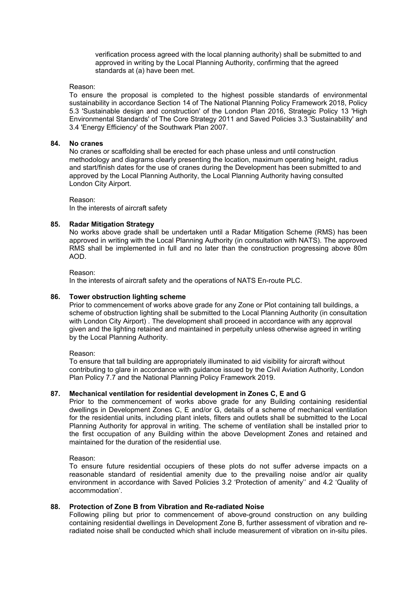verification process agreed with the local planning authority) shall be submitted to and approved in writing by the Local Planning Authority, confirming that the agreed standards at (a) have been met.

### Reason:

To ensure the proposal is completed to the highest possible standards of environmental sustainability in accordance Section 14 of The National Planning Policy Framework 2018, Policy 5.3 'Sustainable design and construction' of the London Plan 2016, Strategic Policy 13 'High Environmental Standards' of The Core Strategy 2011 and Saved Policies 3.3 'Sustainability' and 3.4 'Energy Efficiency' of the Southwark Plan 2007.

#### **84. No cranes**

No cranes or scaffolding shall be erected for each phase unless and until construction methodology and diagrams clearly presenting the location, maximum operating height, radius and start/finish dates for the use of cranes during the Development has been submitted to and approved by the Local Planning Authority, the Local Planning Authority having consulted London City Airport.

Reason:

In the interests of aircraft safety

# **85. Radar Mitigation Strategy**

No works above grade shall be undertaken until a Radar Mitigation Scheme (RMS) has been approved in writing with the Local Planning Authority (in consultation with NATS). The approved RMS shall be implemented in full and no later than the construction progressing above 80m AOD.

Reason:

In the interests of aircraft safety and the operations of NATS En-route PLC.

### **86. Tower obstruction lighting scheme**

Prior to commencement of works above grade for any Zone or Plot containing tall buildings, a scheme of obstruction lighting shall be submitted to the Local Planning Authority (in consultation with London City Airport) . The development shall proceed in accordance with any approval given and the lighting retained and maintained in perpetuity unless otherwise agreed in writing by the Local Planning Authority.

Reason:

To ensure that tall building are appropriately illuminated to aid visibility for aircraft without contributing to glare in accordance with guidance issued by the Civil Aviation Authority, London Plan Policy 7.7 and the National Planning Policy Framework 2019.

# **87. Mechanical ventilation for residential development in Zones C, E and G**

Prior to the commencement of works above grade for any Building containing residential dwellings in Development Zones C, E and/or G, details of a scheme of mechanical ventilation for the residential units, including plant inlets, filters and outlets shall be submitted to the Local Planning Authority for approval in writing. The scheme of ventilation shall be installed prior to the first occupation of any Building within the above Development Zones and retained and maintained for the duration of the residential use.

Reason:

To ensure future residential occupiers of these plots do not suffer adverse impacts on a reasonable standard of residential amenity due to the prevailing noise and/or air quality environment in accordance with Saved Policies 3.2 'Protection of amenity'' and 4.2 'Quality of accommodation'.

# **88. Protection of Zone B from Vibration and Re-radiated Noise**

Following piling but prior to commencement of above-ground construction on any building containing residential dwellings in Development Zone B, further assessment of vibration and reradiated noise shall be conducted which shall include measurement of vibration on in-situ piles.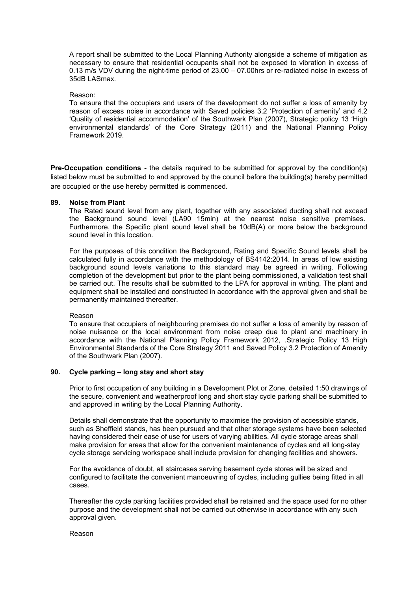A report shall be submitted to the Local Planning Authority alongside a scheme of mitigation as necessary to ensure that residential occupants shall not be exposed to vibration in excess of 0.13 m/s VDV during the night-time period of 23.00 – 07.00hrs or re-radiated noise in excess of 35dB LASmax.

#### Reason:

To ensure that the occupiers and users of the development do not suffer a loss of amenity by reason of excess noise in accordance with Saved policies 3.2 'Protection of amenity' and 4.2 'Quality of residential accommodation' of the Southwark Plan (2007), Strategic policy 13 'High environmental standards' of the Core Strategy (2011) and the National Planning Policy Framework 2019.

**Pre-Occupation conditions -** the details required to be submitted for approval by the condition(s) listed below must be submitted to and approved by the council before the building(s) hereby permitted are occupied or the use hereby permitted is commenced.

# **89. Noise from Plant**

The Rated sound level from any plant, together with any associated ducting shall not exceed the Background sound level (LA90 15min) at the nearest noise sensitive premises. Furthermore, the Specific plant sound level shall be 10dB(A) or more below the background sound level in this location.

For the purposes of this condition the Background, Rating and Specific Sound levels shall be calculated fully in accordance with the methodology of BS4142:2014. In areas of low existing background sound levels variations to this standard may be agreed in writing. Following completion of the development but prior to the plant being commissioned, a validation test shall be carried out. The results shall be submitted to the LPA for approval in writing. The plant and equipment shall be installed and constructed in accordance with the approval given and shall be permanently maintained thereafter.

# Reason

To ensure that occupiers of neighbouring premises do not suffer a loss of amenity by reason of noise nuisance or the local environment from noise creep due to plant and machinery in accordance with the National Planning Policy Framework 2012, .Strategic Policy 13 High Environmental Standards of the Core Strategy 2011 and Saved Policy 3.2 Protection of Amenity of the Southwark Plan (2007).

# **90. Cycle parking – long stay and short stay**

Prior to first occupation of any building in a Development Plot or Zone, detailed 1:50 drawings of the secure, convenient and weatherproof long and short stay cycle parking shall be submitted to and approved in writing by the Local Planning Authority.

Details shall demonstrate that the opportunity to maximise the provision of accessible stands, such as Sheffield stands, has been pursued and that other storage systems have been selected having considered their ease of use for users of varying abilities. All cycle storage areas shall make provision for areas that allow for the convenient maintenance of cycles and all long-stay cycle storage servicing workspace shall include provision for changing facilities and showers.

For the avoidance of doubt, all staircases serving basement cycle stores will be sized and configured to facilitate the convenient manoeuvring of cycles, including gullies being fitted in all cases.

Thereafter the cycle parking facilities provided shall be retained and the space used for no other purpose and the development shall not be carried out otherwise in accordance with any such approval given.

#### Reason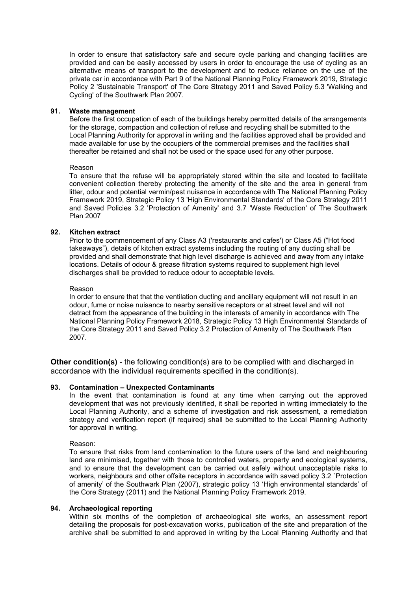In order to ensure that satisfactory safe and secure cycle parking and changing facilities are provided and can be easily accessed by users in order to encourage the use of cycling as an alternative means of transport to the development and to reduce reliance on the use of the private car in accordance with Part 9 of the National Planning Policy Framework 2019, Strategic Policy 2 'Sustainable Transport' of The Core Strategy 2011 and Saved Policy 5.3 'Walking and Cycling' of the Southwark Plan 2007.

# **91. Waste management**

Before the first occupation of each of the buildings hereby permitted details of the arrangements for the storage, compaction and collection of refuse and recycling shall be submitted to the Local Planning Authority for approval in writing and the facilities approved shall be provided and made available for use by the occupiers of the commercial premises and the facilities shall thereafter be retained and shall not be used or the space used for any other purpose.

# Reason

To ensure that the refuse will be appropriately stored within the site and located to facilitate convenient collection thereby protecting the amenity of the site and the area in general from litter, odour and potential vermin/pest nuisance in accordance with The National Planning Policy Framework 2019, Strategic Policy 13 'High Environmental Standards' of the Core Strategy 2011 and Saved Policies 3.2 'Protection of Amenity' and 3.7 'Waste Reduction' of The Southwark Plan 2007

# **92. Kitchen extract**

Prior to the commencement of any Class A3 ('restaurants and cafes') or Class A5 ("Hot food takeaways"), details of kitchen extract systems including the routing of any ducting shall be provided and shall demonstrate that high level discharge is achieved and away from any intake locations. Details of odour & grease filtration systems required to supplement high level discharges shall be provided to reduce odour to acceptable levels.

# Reason

In order to ensure that that the ventilation ducting and ancillary equipment will not result in an odour, fume or noise nuisance to nearby sensitive receptors or at street level and will not detract from the appearance of the building in the interests of amenity in accordance with The National Planning Policy Framework 2018, Strategic Policy 13 High Environmental Standards of the Core Strategy 2011 and Saved Policy 3.2 Protection of Amenity of The Southwark Plan 2007.

**Other condition(s)** - the following condition(s) are to be complied with and discharged in accordance with the individual requirements specified in the condition(s).

# **93. Contamination – Unexpected Contaminants**

In the event that contamination is found at any time when carrying out the approved development that was not previously identified, it shall be reported in writing immediately to the Local Planning Authority, and a scheme of investigation and risk assessment, a remediation strategy and verification report (if required) shall be submitted to the Local Planning Authority for approval in writing.

# Reason:

To ensure that risks from land contamination to the future users of the land and neighbouring land are minimised, together with those to controlled waters, property and ecological systems, and to ensure that the development can be carried out safely without unacceptable risks to workers, neighbours and other offsite receptors in accordance with saved policy 3.2 `Protection of amenity' of the Southwark Plan (2007), strategic policy 13 'High environmental standards' of the Core Strategy (2011) and the National Planning Policy Framework 2019.

# **94. Archaeological reporting**

Within six months of the completion of archaeological site works, an assessment report detailing the proposals for post-excavation works, publication of the site and preparation of the archive shall be submitted to and approved in writing by the Local Planning Authority and that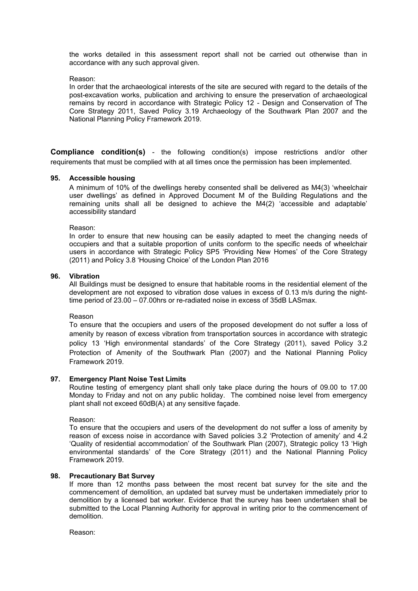the works detailed in this assessment report shall not be carried out otherwise than in accordance with any such approval given.

# Reason:

In order that the archaeological interests of the site are secured with regard to the details of the post-excavation works, publication and archiving to ensure the preservation of archaeological remains by record in accordance with Strategic Policy 12 - Design and Conservation of The Core Strategy 2011, Saved Policy 3.19 Archaeology of the Southwark Plan 2007 and the National Planning Policy Framework 2019.

**Compliance condition(s)** - the following condition(s) impose restrictions and/or other requirements that must be complied with at all times once the permission has been implemented.

# **95. Accessible housing**

A minimum of 10% of the dwellings hereby consented shall be delivered as M4(3) 'wheelchair user dwellings' as defined in Approved Document M of the Building Regulations and the remaining units shall all be designed to achieve the M4(2) 'accessible and adaptable' accessibility standard

Reason:

In order to ensure that new housing can be easily adapted to meet the changing needs of occupiers and that a suitable proportion of units conform to the specific needs of wheelchair users in accordance with Strategic Policy SP5 'Providing New Homes' of the Core Strategy (2011) and Policy 3.8 'Housing Choice' of the London Plan 2016

# **96. Vibration**

All Buildings must be designed to ensure that habitable rooms in the residential element of the development are not exposed to vibration dose values in excess of 0.13 m/s during the nighttime period of 23.00 – 07.00hrs or re-radiated noise in excess of 35dB LASmax.

# Reason

To ensure that the occupiers and users of the proposed development do not suffer a loss of amenity by reason of excess vibration from transportation sources in accordance with strategic policy 13 'High environmental standards' of the Core Strategy (2011), saved Policy 3.2 Protection of Amenity of the Southwark Plan (2007) and the National Planning Policy Framework 2019.

# **97. Emergency Plant Noise Test Limits**

Routine testing of emergency plant shall only take place during the hours of 09.00 to 17.00 Monday to Friday and not on any public holiday. The combined noise level from emergency plant shall not exceed 60dB(A) at any sensitive façade.

Reason:

To ensure that the occupiers and users of the development do not suffer a loss of amenity by reason of excess noise in accordance with Saved policies 3.2 'Protection of amenity' and 4.2 'Quality of residential accommodation' of the Southwark Plan (2007), Strategic policy 13 'High environmental standards' of the Core Strategy (2011) and the National Planning Policy Framework 2019.

# **98. Precautionary Bat Survey**

If more than 12 months pass between the most recent bat survey for the site and the commencement of demolition, an updated bat survey must be undertaken immediately prior to demolition by a licensed bat worker. Evidence that the survey has been undertaken shall be submitted to the Local Planning Authority for approval in writing prior to the commencement of demolition.

Reason: